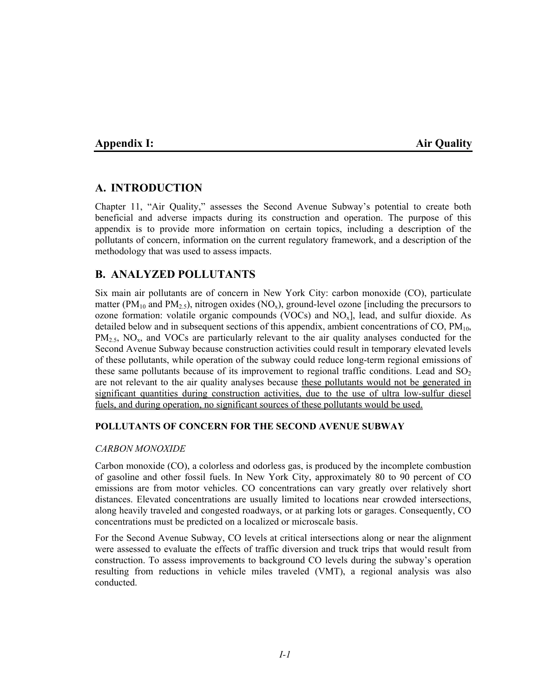# **Appendix I:** Air Quality **Air Quality Air Quality Air Quality**

# **A. INTRODUCTION**

Chapter 11, "Air Quality," assesses the Second Avenue Subway's potential to create both beneficial and adverse impacts during its construction and operation. The purpose of this appendix is to provide more information on certain topics, including a description of the pollutants of concern, information on the current regulatory framework, and a description of the methodology that was used to assess impacts.

# **B. ANALYZED POLLUTANTS**

Six main air pollutants are of concern in New York City: carbon monoxide (CO), particulate matter (PM<sub>10</sub> and PM<sub>2.5</sub>), nitrogen oxides (NO<sub>x</sub>), ground-level ozone [including the precursors to ozone formation: volatile organic compounds (VOCs) and  $NO<sub>x</sub>$ ], lead, and sulfur dioxide. As detailed below and in subsequent sections of this appendix, ambient concentrations of  $CO$ ,  $PM_{10}$ ,  $PM_{2.5}$ , NO<sub>x</sub>, and VOCs are particularly relevant to the air quality analyses conducted for the Second Avenue Subway because construction activities could result in temporary elevated levels of these pollutants, while operation of the subway could reduce long-term regional emissions of these same pollutants because of its improvement to regional traffic conditions. Lead and  $SO<sub>2</sub>$ are not relevant to the air quality analyses because these pollutants would not be generated in significant quantities during construction activities, due to the use of ultra low-sulfur diesel fuels, and during operation, no significant sources of these pollutants would be used.

### **POLLUTANTS OF CONCERN FOR THE SECOND AVENUE SUBWAY**

### *CARBON MONOXIDE*

Carbon monoxide (CO), a colorless and odorless gas, is produced by the incomplete combustion of gasoline and other fossil fuels. In New York City, approximately 80 to 90 percent of CO emissions are from motor vehicles. CO concentrations can vary greatly over relatively short distances. Elevated concentrations are usually limited to locations near crowded intersections, along heavily traveled and congested roadways, or at parking lots or garages. Consequently, CO concentrations must be predicted on a localized or microscale basis.

For the Second Avenue Subway, CO levels at critical intersections along or near the alignment were assessed to evaluate the effects of traffic diversion and truck trips that would result from construction. To assess improvements to background CO levels during the subway's operation resulting from reductions in vehicle miles traveled (VMT), a regional analysis was also conducted.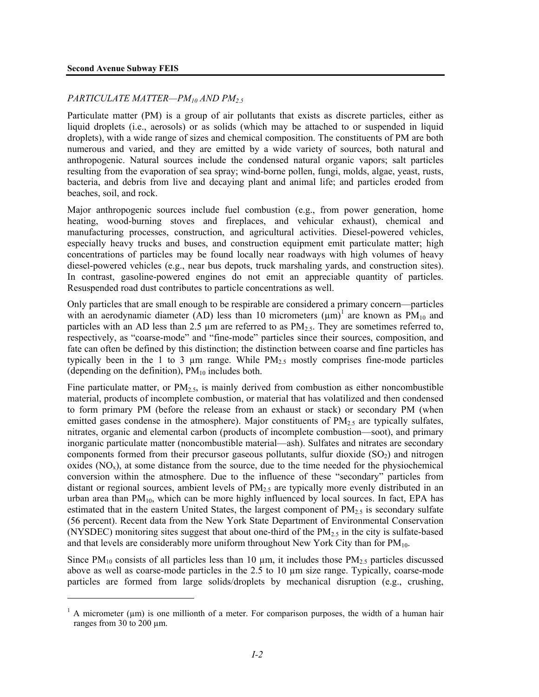1

### *PARTICULATE MATTER—PM10 AND PM2.5*

Particulate matter (PM) is a group of air pollutants that exists as discrete particles, either as liquid droplets (i.e., aerosols) or as solids (which may be attached to or suspended in liquid droplets), with a wide range of sizes and chemical composition. The constituents of PM are both numerous and varied, and they are emitted by a wide variety of sources, both natural and anthropogenic. Natural sources include the condensed natural organic vapors; salt particles resulting from the evaporation of sea spray; wind-borne pollen, fungi, molds, algae, yeast, rusts, bacteria, and debris from live and decaying plant and animal life; and particles eroded from beaches, soil, and rock.

Major anthropogenic sources include fuel combustion (e.g., from power generation, home heating, wood-burning stoves and fireplaces, and vehicular exhaust), chemical and manufacturing processes, construction, and agricultural activities. Diesel-powered vehicles, especially heavy trucks and buses, and construction equipment emit particulate matter; high concentrations of particles may be found locally near roadways with high volumes of heavy diesel-powered vehicles (e.g., near bus depots, truck marshaling yards, and construction sites). In contrast, gasoline-powered engines do not emit an appreciable quantity of particles. Resuspended road dust contributes to particle concentrations as well.

Only particles that are small enough to be respirable are considered a primary concern—particles with an aerodynamic diameter (AD) less than 10 micrometers  $(\mu m)^1$  are known as PM<sub>10</sub> and particles with an AD less than 2.5  $\mu$ m are referred to as PM<sub>2.5</sub>. They are sometimes referred to, respectively, as "coarse-mode" and "fine-mode" particles since their sources, composition, and fate can often be defined by this distinction; the distinction between coarse and fine particles has typically been in the 1 to 3  $\mu$ m range. While PM<sub>2.5</sub> mostly comprises fine-mode particles (depending on the definition),  $PM_{10}$  includes both.

Fine particulate matter, or  $PM_{2.5}$ , is mainly derived from combustion as either noncombustible material, products of incomplete combustion, or material that has volatilized and then condensed to form primary PM (before the release from an exhaust or stack) or secondary PM (when emitted gases condense in the atmosphere). Major constituents of  $PM_{2.5}$  are typically sulfates, nitrates, organic and elemental carbon (products of incomplete combustion—soot), and primary inorganic particulate matter (noncombustible material—ash). Sulfates and nitrates are secondary components formed from their precursor gaseous pollutants, sulfur dioxide  $(SO<sub>2</sub>)$  and nitrogen oxides  $(NO<sub>x</sub>)$ , at some distance from the source, due to the time needed for the physiochemical conversion within the atmosphere. Due to the influence of these "secondary" particles from distant or regional sources, ambient levels of  $PM<sub>2.5</sub>$  are typically more evenly distributed in an urban area than  $PM_{10}$ , which can be more highly influenced by local sources. In fact, EPA has estimated that in the eastern United States, the largest component of  $PM_{2.5}$  is secondary sulfate (56 percent). Recent data from the New York State Department of Environmental Conservation (NYSDEC) monitoring sites suggest that about one-third of the  $PM_{2.5}$  in the city is sulfate-based and that levels are considerably more uniform throughout New York City than for  $PM_{10}$ .

Since  $PM_{10}$  consists of all particles less than 10  $\mu$ m, it includes those  $PM_{2.5}$  particles discussed above as well as coarse-mode particles in the 2.5 to 10 µm size range. Typically, coarse-mode particles are formed from large solids/droplets by mechanical disruption (e.g., crushing,

<sup>&</sup>lt;sup>1</sup> A micrometer ( $\mu$ m) is one millionth of a meter. For comparison purposes, the width of a human hair ranges from 30 to 200 µm.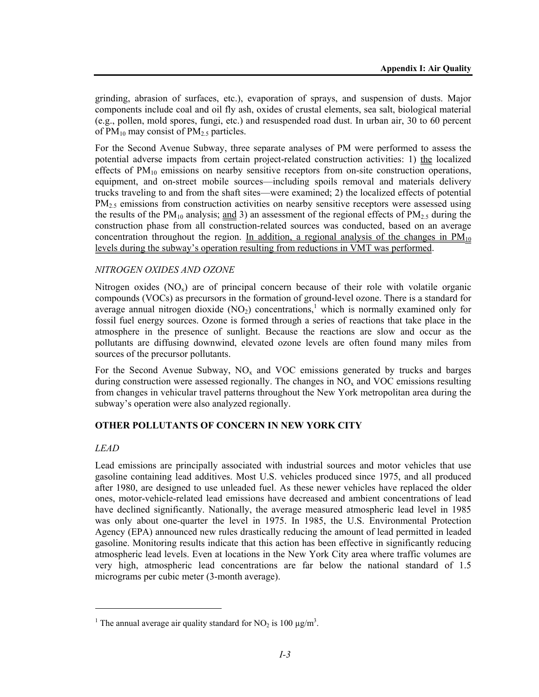grinding, abrasion of surfaces, etc.), evaporation of sprays, and suspension of dusts. Major components include coal and oil fly ash, oxides of crustal elements, sea salt, biological material (e.g., pollen, mold spores, fungi, etc.) and resuspended road dust. In urban air, 30 to 60 percent of  $PM_{10}$  may consist of  $PM_{2.5}$  particles.

For the Second Avenue Subway, three separate analyses of PM were performed to assess the potential adverse impacts from certain project-related construction activities: 1) the localized effects of  $PM_{10}$  emissions on nearby sensitive receptors from on-site construction operations, equipment, and on-street mobile sources—including spoils removal and materials delivery trucks traveling to and from the shaft sites—were examined; 2) the localized effects of potential  $PM<sub>2.5</sub>$  emissions from construction activities on nearby sensitive receptors were assessed using the results of the  $PM_{10}$  analysis; and 3) an assessment of the regional effects of  $PM_{2.5}$  during the construction phase from all construction-related sources was conducted, based on an average concentration throughout the region. In addition, a regional analysis of the changes in  $PM_{10}$ levels during the subway's operation resulting from reductions in VMT was performed.

### *NITROGEN OXIDES AND OZONE*

Nitrogen oxides  $(NO_x)$  are of principal concern because of their role with volatile organic compounds (VOCs) as precursors in the formation of ground-level ozone. There is a standard for average annual nitrogen dioxide  $(NO<sub>2</sub>)$  concentrations,<sup>1</sup> which is normally examined only for fossil fuel energy sources. Ozone is formed through a series of reactions that take place in the atmosphere in the presence of sunlight. Because the reactions are slow and occur as the pollutants are diffusing downwind, elevated ozone levels are often found many miles from sources of the precursor pollutants.

For the Second Avenue Subway,  $NO<sub>x</sub>$  and VOC emissions generated by trucks and barges during construction were assessed regionally. The changes in  $NO<sub>x</sub>$  and VOC emissions resulting from changes in vehicular travel patterns throughout the New York metropolitan area during the subway's operation were also analyzed regionally.

### **OTHER POLLUTANTS OF CONCERN IN NEW YORK CITY**

### *LEAD*

1

Lead emissions are principally associated with industrial sources and motor vehicles that use gasoline containing lead additives. Most U.S. vehicles produced since 1975, and all produced after 1980, are designed to use unleaded fuel. As these newer vehicles have replaced the older ones, motor-vehicle-related lead emissions have decreased and ambient concentrations of lead have declined significantly. Nationally, the average measured atmospheric lead level in 1985 was only about one-quarter the level in 1975. In 1985, the U.S. Environmental Protection Agency (EPA) announced new rules drastically reducing the amount of lead permitted in leaded gasoline. Monitoring results indicate that this action has been effective in significantly reducing atmospheric lead levels. Even at locations in the New York City area where traffic volumes are very high, atmospheric lead concentrations are far below the national standard of 1.5 micrograms per cubic meter (3-month average).

<sup>&</sup>lt;sup>1</sup> The annual average air quality standard for NO<sub>2</sub> is 100  $\mu$ g/m<sup>3</sup>.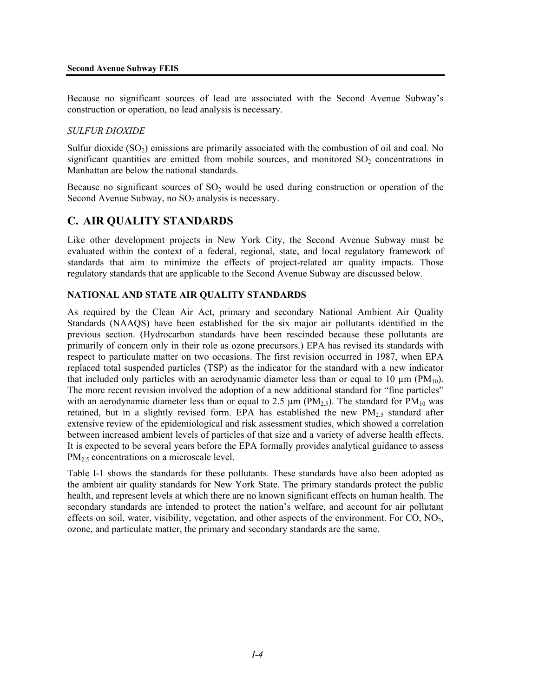Because no significant sources of lead are associated with the Second Avenue Subway's construction or operation, no lead analysis is necessary.

### *SULFUR DIOXIDE*

Sulfur dioxide  $(SO<sub>2</sub>)$  emissions are primarily associated with the combustion of oil and coal. No significant quantities are emitted from mobile sources, and monitored  $SO<sub>2</sub>$  concentrations in Manhattan are below the national standards.

Because no significant sources of  $SO<sub>2</sub>$  would be used during construction or operation of the Second Avenue Subway, no  $SO<sub>2</sub>$  analysis is necessary.

### **C. AIR QUALITY STANDARDS**

Like other development projects in New York City, the Second Avenue Subway must be evaluated within the context of a federal, regional, state, and local regulatory framework of standards that aim to minimize the effects of project-related air quality impacts. Those regulatory standards that are applicable to the Second Avenue Subway are discussed below.

### **NATIONAL AND STATE AIR QUALITY STANDARDS**

As required by the Clean Air Act, primary and secondary National Ambient Air Quality Standards (NAAQS) have been established for the six major air pollutants identified in the previous section. (Hydrocarbon standards have been rescinded because these pollutants are primarily of concern only in their role as ozone precursors.) EPA has revised its standards with respect to particulate matter on two occasions. The first revision occurred in 1987, when EPA replaced total suspended particles (TSP) as the indicator for the standard with a new indicator that included only particles with an aerodynamic diameter less than or equal to 10  $\mu$ m (PM<sub>10</sub>). The more recent revision involved the adoption of a new additional standard for "fine particles" with an aerodynamic diameter less than or equal to 2.5  $\mu$ m (PM<sub>2.5</sub>). The standard for PM<sub>10</sub> was retained, but in a slightly revised form. EPA has established the new  $PM<sub>25</sub>$  standard after extensive review of the epidemiological and risk assessment studies, which showed a correlation between increased ambient levels of particles of that size and a variety of adverse health effects. It is expected to be several years before the EPA formally provides analytical guidance to assess PM<sub>2.5</sub> concentrations on a microscale level.

Table I-1 shows the standards for these pollutants. These standards have also been adopted as the ambient air quality standards for New York State. The primary standards protect the public health, and represent levels at which there are no known significant effects on human health. The secondary standards are intended to protect the nation's welfare, and account for air pollutant effects on soil, water, visibility, vegetation, and other aspects of the environment. For  $CO$ ,  $NO<sub>2</sub>$ , ozone, and particulate matter, the primary and secondary standards are the same.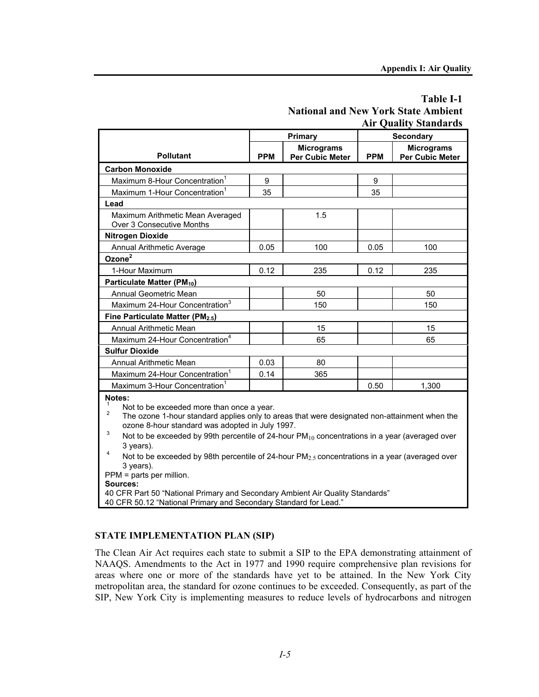## **Table I-1 National and New York State Ambient Air Quality Standards**

|                                                               |            | <b>Primary</b>                              | <b>Secondary</b> |                                             |  |
|---------------------------------------------------------------|------------|---------------------------------------------|------------------|---------------------------------------------|--|
| <b>Pollutant</b>                                              | <b>PPM</b> | <b>Micrograms</b><br><b>Per Cubic Meter</b> | <b>PPM</b>       | <b>Micrograms</b><br><b>Per Cubic Meter</b> |  |
| <b>Carbon Monoxide</b>                                        |            |                                             |                  |                                             |  |
| Maximum 8-Hour Concentration <sup>1</sup>                     | 9          |                                             | 9                |                                             |  |
| Maximum 1-Hour Concentration <sup>1</sup>                     | 35         |                                             | 35               |                                             |  |
| Lead                                                          |            |                                             |                  |                                             |  |
| Maximum Arithmetic Mean Averaged<br>Over 3 Consecutive Months |            | 1.5                                         |                  |                                             |  |
| Nitrogen Dioxide                                              |            |                                             |                  |                                             |  |
| Annual Arithmetic Average                                     | 0.05       | 100                                         | 0.05             | 100                                         |  |
| Ozone <sup>2</sup>                                            |            |                                             |                  |                                             |  |
| 1-Hour Maximum                                                | 0.12       | 235                                         | 0.12             | 235                                         |  |
| Particulate Matter (PM <sub>10</sub> )                        |            |                                             |                  |                                             |  |
| Annual Geometric Mean                                         |            | 50                                          |                  | 50                                          |  |
| Maximum 24-Hour Concentration <sup>3</sup>                    |            | 150                                         |                  | 150                                         |  |
| Fine Particulate Matter (PM <sub>2.5</sub> )                  |            |                                             |                  |                                             |  |
| Annual Arithmetic Mean                                        |            | 15                                          |                  | 15                                          |  |
| Maximum 24-Hour Concentration <sup>4</sup>                    |            | 65                                          |                  | 65                                          |  |
| <b>Sulfur Dioxide</b>                                         |            |                                             |                  |                                             |  |
| <b>Annual Arithmetic Mean</b>                                 | 0.03       | 80                                          |                  |                                             |  |
| Maximum 24-Hour Concentration <sup>1</sup>                    | 0.14       | 365                                         |                  |                                             |  |
| Maximum 3-Hour Concentration <sup>1</sup>                     |            |                                             | 0.50             | 1,300                                       |  |
| Notes:<br>Not to be exceeded more than once a year.           |            |                                             |                  |                                             |  |

2

 The ozone 1-hour standard applies only to areas that were designated non-attainment when the ozone 8-hour standard was adopted in July 1997. 3

Not to be exceeded by 99th percentile of 24-hour  $PM_{10}$  concentrations in a year (averaged over 3 years). 4

Not to be exceeded by 98th percentile of 24-hour  $PM_{2.5}$  concentrations in a year (averaged over 3 years).

PPM = parts per million.

**Sources:**

40 CFR Part 50 "National Primary and Secondary Ambient Air Quality Standards"

40 CFR 50.12 "National Primary and Secondary Standard for Lead."

### **STATE IMPLEMENTATION PLAN (SIP)**

The Clean Air Act requires each state to submit a SIP to the EPA demonstrating attainment of NAAQS. Amendments to the Act in 1977 and 1990 require comprehensive plan revisions for areas where one or more of the standards have yet to be attained. In the New York City metropolitan area, the standard for ozone continues to be exceeded. Consequently, as part of the SIP, New York City is implementing measures to reduce levels of hydrocarbons and nitrogen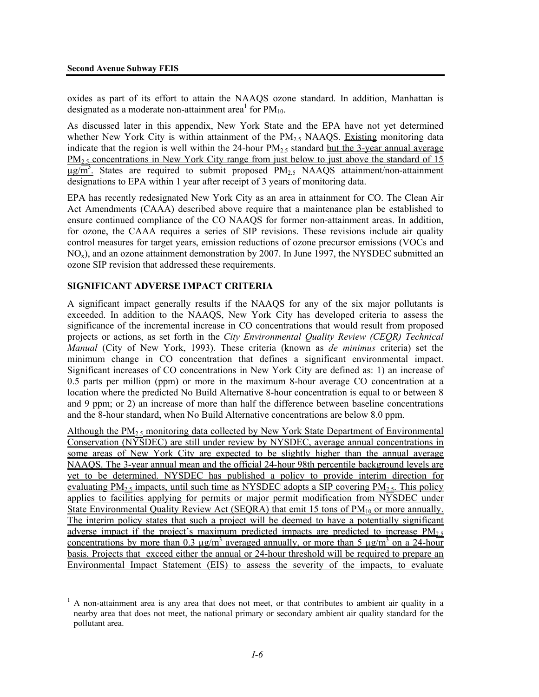l

oxides as part of its effort to attain the NAAQS ozone standard. In addition, Manhattan is designated as a moderate non-attainment area<sup>1</sup> for  $PM_{10}$ .

As discussed later in this appendix, New York State and the EPA have not yet determined whether New York City is within attainment of the  $PM<sub>2.5</sub>$  NAAQS. Existing monitoring data indicate that the region is well within the 24-hour  $PM<sub>2.5</sub>$  standard but the 3-year annual average PM<sub>2.5</sub> concentrations in New York City range from just below to just above the standard of 15  $\mu$ g/m<sup>3</sup>. States are required to submit proposed PM<sub>2.5</sub> NAAQS attainment/non-attainment designations to EPA within 1 year after receipt of 3 years of monitoring data.

EPA has recently redesignated New York City as an area in attainment for CO. The Clean Air Act Amendments (CAAA) described above require that a maintenance plan be established to ensure continued compliance of the CO NAAQS for former non-attainment areas. In addition, for ozone, the CAAA requires a series of SIP revisions. These revisions include air quality control measures for target years, emission reductions of ozone precursor emissions (VOCs and NOx), and an ozone attainment demonstration by 2007. In June 1997, the NYSDEC submitted an ozone SIP revision that addressed these requirements.

### **SIGNIFICANT ADVERSE IMPACT CRITERIA**

A significant impact generally results if the NAAQS for any of the six major pollutants is exceeded. In addition to the NAAQS, New York City has developed criteria to assess the significance of the incremental increase in CO concentrations that would result from proposed projects or actions, as set forth in the *City Environmental Quality Review (CEQR) Technical Manual* (City of New York, 1993). These criteria (known as *de minimus* criteria) set the minimum change in CO concentration that defines a significant environmental impact. Significant increases of CO concentrations in New York City are defined as: 1) an increase of 0.5 parts per million (ppm) or more in the maximum 8-hour average CO concentration at a location where the predicted No Build Alternative 8-hour concentration is equal to or between 8 and 9 ppm; or 2) an increase of more than half the difference between baseline concentrations and the 8-hour standard, when No Build Alternative concentrations are below 8.0 ppm.

Although the PM<sub>2.5</sub> monitoring data collected by New York State Department of Environmental Conservation (NYSDEC) are still under review by NYSDEC, average annual concentrations in some areas of New York City are expected to be slightly higher than the annual average NAAQS. The 3-year annual mean and the official 24-hour 98th percentile background levels are yet to be determined. NYSDEC has published a policy to provide interim direction for evaluating PM<sub>2.5</sub> impacts, until such time as NYSDEC adopts a SIP covering PM<sub>2.5</sub>. This policy applies to facilities applying for permits or major permit modification from N $\overline{YSDEC}$  under State Environmental Quality Review Act (SEQRA) that emit 15 tons of  $PM_{10}$  or more annually. The interim policy states that such a project will be deemed to have a potentially significant adverse impact if the project's maximum predicted impacts are predicted to increase  $PM<sub>25</sub>$ concentrations by more than 0.3  $\mu$ g/m<sup>3</sup> averaged annually, or more than 5  $\mu$ g/m<sup>3</sup> on a 24-hour basis. Projects that exceed either the annual or 24-hour threshold will be required to prepare an Environmental Impact Statement (EIS) to assess the severity of the impacts, to evaluate

<sup>&</sup>lt;sup>1</sup> A non-attainment area is any area that does not meet, or that contributes to ambient air quality in a nearby area that does not meet, the national primary or secondary ambient air quality standard for the pollutant area.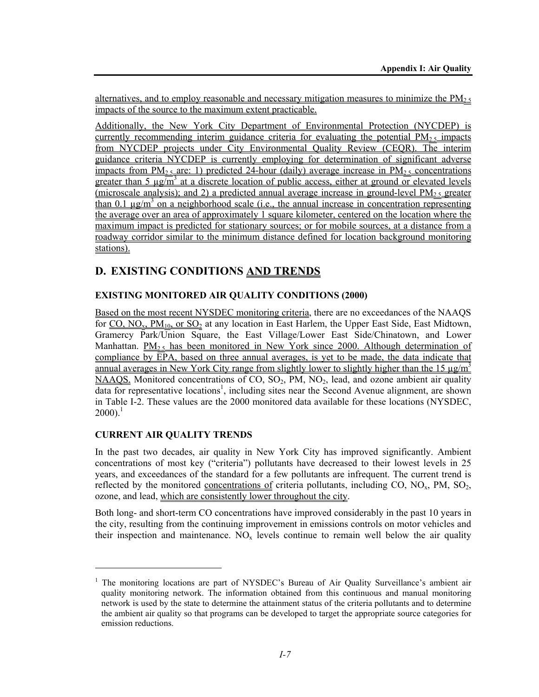alternatives, and to employ reasonable and necessary mitigation measures to minimize the  $PM<sub>2.5</sub>$ impacts of the source to the maximum extent practicable.

Additionally, the New York City Department of Environmental Protection (NYCDEP) is currently recommending interim guidance criteria for evaluating the potential  $PM_2$ , impacts from NYCDEP projects under City Environmental Quality Review (CEQR). The interim guidance criteria NYCDEP is currently employing for determination of significant adverse impacts from  $PM_{2.5}$  are: 1) predicted 24-hour (daily) average increase in  $PM_{2.5}$  concentrations greater than 5  $\mu$ g/m<sup>3</sup> at a discrete location of public access, either at ground or elevated levels (microscale analysis); and 2) a predicted annual average increase in ground-level  $PM_{2.5}$  greater than 0.1  $\mu$ g/m<sup>3</sup> on a neighborhood scale (i.e., the annual increase in concentration representing the average over an area of approximately 1 square kilometer, centered on the location where the maximum impact is predicted for stationary sources; or for mobile sources, at a distance from a roadway corridor similar to the minimum distance defined for location background monitoring stations).

# **D. EXISTING CONDITIONS AND TRENDS**

# **EXISTING MONITORED AIR QUALITY CONDITIONS (2000)**

Based on the most recent NYSDEC monitoring criteria, there are no exceedances of the NAAQS for  $CO$ ,  $NO<sub>x</sub>$ ,  $PM<sub>10</sub>$ , or  $SO<sub>2</sub>$  at any location in East Harlem, the Upper East Side, East Midtown, Gramercy Park/Union Square, the East Village/Lower East Side/Chinatown, and Lower Manhattan. PM $_2$ <sub>5</sub> has been monitored in New York since 2000. Although determination of compliance by EPA, based on three annual averages, is yet to be made, the data indicate that annual averages in New York City range from slightly lower to slightly higher than the 15  $\mu$ g/m<sup>3</sup>  $NAAQS$ . Monitored concentrations of CO, SO<sub>2</sub>, PM, NO<sub>2</sub>, lead, and ozone ambient air quality data for representative locations<sup>1</sup>, including sites near the Second Avenue alignment, are shown in Table I-2. These values are the 2000 monitored data available for these locations (NYSDEC,  $2000$ ).<sup>1</sup>

### **CURRENT AIR QUALITY TRENDS**

l

In the past two decades, air quality in New York City has improved significantly. Ambient concentrations of most key ("criteria") pollutants have decreased to their lowest levels in 25 years, and exceedances of the standard for a few pollutants are infrequent. The current trend is reflected by the monitored concentrations of criteria pollutants, including CO,  $NO<sub>x</sub>$ , PM,  $SO<sub>2</sub>$ , ozone, and lead, which are consistently lower throughout the city.

Both long- and short-term CO concentrations have improved considerably in the past 10 years in the city, resulting from the continuing improvement in emissions controls on motor vehicles and their inspection and maintenance.  $NO<sub>x</sub>$  levels continue to remain well below the air quality

<sup>&</sup>lt;sup>1</sup> The monitoring locations are part of NYSDEC's Bureau of Air Quality Surveillance's ambient air quality monitoring network. The information obtained from this continuous and manual monitoring network is used by the state to determine the attainment status of the criteria pollutants and to determine the ambient air quality so that programs can be developed to target the appropriate source categories for emission reductions.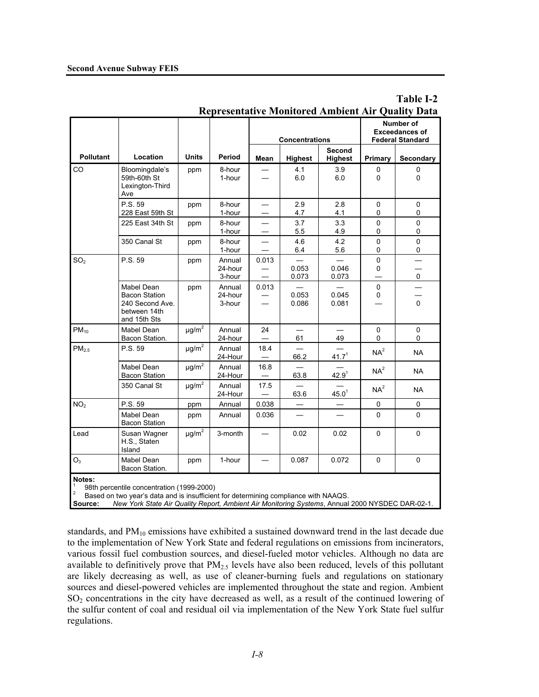|                          |                                                                                       |                        |                             |                                  | <b>Concentrations</b>    |                                 |                            | <b>Number of</b><br><b>Exceedances of</b><br><b>Federal Standard</b> |
|--------------------------|---------------------------------------------------------------------------------------|------------------------|-----------------------------|----------------------------------|--------------------------|---------------------------------|----------------------------|----------------------------------------------------------------------|
| <b>Pollutant</b>         | Location                                                                              | <b>Units</b>           | Period                      | Mean                             | <b>Highest</b>           | <b>Second</b><br><b>Highest</b> | Primary                    | Secondary                                                            |
| CO                       | Bloomingdale's<br>59th-60th St<br>Lexington-Third<br>Ave                              | ppm                    | 8-hour<br>1-hour            |                                  | 4.1<br>6.0               | 3.9<br>6.0                      | 0<br>0                     | $\mathbf 0$<br>0                                                     |
|                          | P.S. 59<br>228 East 59th St                                                           | ppm                    | 8-hour<br>1-hour            |                                  | 2.9<br>4.7               | 2.8<br>4.1                      | 0<br>0                     | $\mathbf 0$<br>0                                                     |
|                          | 225 East 34th St                                                                      | ppm                    | 8-hour<br>1-hour            | $\overline{\phantom{0}}$         | 3.7<br>5.5               | 3.3<br>4.9                      | $\mathbf 0$<br>0           | $\mathbf 0$<br>0                                                     |
|                          | 350 Canal St                                                                          | ppm                    | 8-hour<br>1-hour            |                                  | 4.6<br>6.4               | 4.2<br>5.6                      | $\mathbf 0$<br>$\mathbf 0$ | $\mathbf 0$<br>$\mathbf 0$                                           |
| SO <sub>2</sub>          | P.S. 59                                                                               | ppm                    | Annual<br>24-hour<br>3-hour | 0.013                            | 0.053<br>0.073           | 0.046<br>0.073                  | $\mathbf 0$<br>0           | $\mathsf{o}$                                                         |
|                          | Mabel Dean<br><b>Bacon Station</b><br>240 Second Ave.<br>between 14th<br>and 15th Sts | ppm                    | Annual<br>24-hour<br>3-hour | 0.013                            | 0.053<br>0.086           | 0.045<br>0.081                  | $\Omega$<br>0              | $\Omega$                                                             |
| $PM_{10}$                | Mabel Dean<br>Bacon Station.                                                          | $\mu$ g/m^2            | Annual<br>24-hour           | 24                               | 61                       | 49                              | $\mathbf 0$<br>0           | 0<br>0                                                               |
| PM <sub>2.5</sub>        | P.S. 59                                                                               | $\mu$ g/m <sup>2</sup> | Annual<br>24-Hour           | 18.4                             | 66.2                     | 41.7 <sup>1</sup>               | NA <sup>2</sup>            | <b>NA</b>                                                            |
|                          | Mabel Dean<br><b>Bacon Station</b>                                                    | $\mu$ g/m <sup>2</sup> | Annual<br>24-Hour           | 16.8<br>$\overline{\phantom{0}}$ | 63.8                     | $42.9^{1}$                      | NA <sup>2</sup>            | <b>NA</b>                                                            |
|                          | 350 Canal St                                                                          | $\mu$ g/m <sup>2</sup> | Annual<br>24-Hour           | 17.5                             | 63.6                     | 45.0 <sup>1</sup>               | NA <sup>2</sup>            | <b>NA</b>                                                            |
| NO <sub>2</sub>          | P.S. 59                                                                               | ppm                    | Annual                      | 0.038                            | $\overline{\phantom{0}}$ |                                 | $\mathbf 0$                | 0                                                                    |
|                          | Mabel Dean<br><b>Bacon Station</b>                                                    | ppm                    | Annual                      | 0.036                            |                          |                                 | 0                          | 0                                                                    |
| Lead                     | Susan Wagner<br>H.S., Staten<br>Island                                                | $\mu$ g/m <sup>2</sup> | 3-month                     | $\overline{\phantom{0}}$         | 0.02                     | 0.02                            | $\mathbf 0$                | $\mathbf 0$                                                          |
| O <sub>3</sub><br>Notes: | Mabel Dean<br>Bacon Station.                                                          | ppm                    | 1-hour                      | $\overline{\phantom{0}}$         | 0.087                    | 0.072                           | 0                          | $\Omega$                                                             |

### **Table I-2 Representative Monitored Ambient Air Quality Data**

**Notes:** 

1 98th percentile concentration (1999-2000) 2

Based on two year's data and is insufficient for determining compliance with NAAQS.

**Source:** *New York State Air Quality Report, Ambient Air Monitoring Systems*, Annual 2000 NYSDEC DAR-02-1.

standards, and PM<sub>10</sub> emissions have exhibited a sustained downward trend in the last decade due to the implementation of New York State and federal regulations on emissions from incinerators, various fossil fuel combustion sources, and diesel-fueled motor vehicles. Although no data are available to definitively prove that  $PM<sub>2.5</sub>$  levels have also been reduced, levels of this pollutant are likely decreasing as well, as use of cleaner-burning fuels and regulations on stationary sources and diesel-powered vehicles are implemented throughout the state and region. Ambient SO2 concentrations in the city have decreased as well, as a result of the continued lowering of the sulfur content of coal and residual oil via implementation of the New York State fuel sulfur regulations.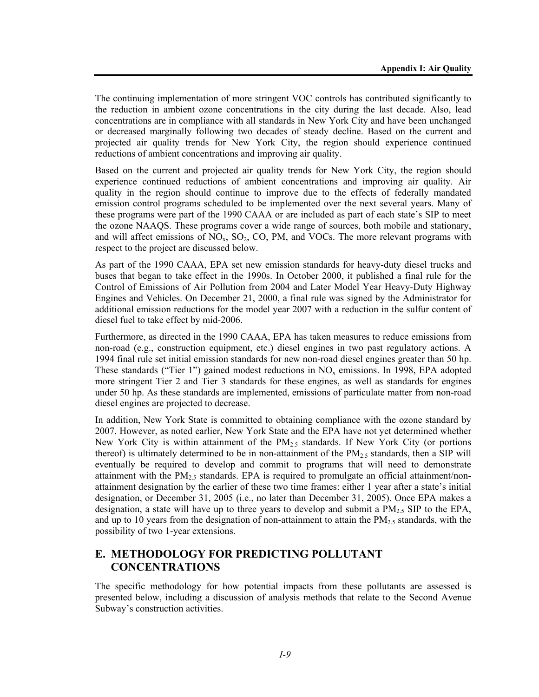The continuing implementation of more stringent VOC controls has contributed significantly to the reduction in ambient ozone concentrations in the city during the last decade. Also, lead concentrations are in compliance with all standards in New York City and have been unchanged or decreased marginally following two decades of steady decline. Based on the current and projected air quality trends for New York City, the region should experience continued reductions of ambient concentrations and improving air quality.

Based on the current and projected air quality trends for New York City, the region should experience continued reductions of ambient concentrations and improving air quality. Air quality in the region should continue to improve due to the effects of federally mandated emission control programs scheduled to be implemented over the next several years. Many of these programs were part of the 1990 CAAA or are included as part of each state's SIP to meet the ozone NAAQS. These programs cover a wide range of sources, both mobile and stationary, and will affect emissions of  $NO<sub>x</sub>$ ,  $SO<sub>2</sub>$ ,  $CO$ ,  $PM$ , and  $VOCs$ . The more relevant programs with respect to the project are discussed below.

As part of the 1990 CAAA, EPA set new emission standards for heavy-duty diesel trucks and buses that began to take effect in the 1990s. In October 2000, it published a final rule for the Control of Emissions of Air Pollution from 2004 and Later Model Year Heavy-Duty Highway Engines and Vehicles. On December 21, 2000, a final rule was signed by the Administrator for additional emission reductions for the model year 2007 with a reduction in the sulfur content of diesel fuel to take effect by mid-2006.

Furthermore, as directed in the 1990 CAAA, EPA has taken measures to reduce emissions from non-road (e.g., construction equipment, etc.) diesel engines in two past regulatory actions. A 1994 final rule set initial emission standards for new non-road diesel engines greater than 50 hp. These standards ("Tier 1") gained modest reductions in  $NO<sub>x</sub>$  emissions. In 1998, EPA adopted more stringent Tier 2 and Tier 3 standards for these engines, as well as standards for engines under 50 hp. As these standards are implemented, emissions of particulate matter from non-road diesel engines are projected to decrease.

In addition, New York State is committed to obtaining compliance with the ozone standard by 2007. However, as noted earlier, New York State and the EPA have not yet determined whether New York City is within attainment of the  $PM<sub>2.5</sub>$  standards. If New York City (or portions thereof) is ultimately determined to be in non-attainment of the  $PM_{2.5}$  standards, then a SIP will eventually be required to develop and commit to programs that will need to demonstrate attainment with the  $PM_{2.5}$  standards. EPA is required to promulgate an official attainment/nonattainment designation by the earlier of these two time frames: either 1 year after a state's initial designation, or December 31, 2005 (i.e., no later than December 31, 2005). Once EPA makes a designation, a state will have up to three years to develop and submit a  $PM_{2.5}$  SIP to the EPA, and up to 10 years from the designation of non-attainment to attain the  $PM_{2.5}$  standards, with the possibility of two 1-year extensions.

# **E. METHODOLOGY FOR PREDICTING POLLUTANT CONCENTRATIONS**

The specific methodology for how potential impacts from these pollutants are assessed is presented below, including a discussion of analysis methods that relate to the Second Avenue Subway's construction activities.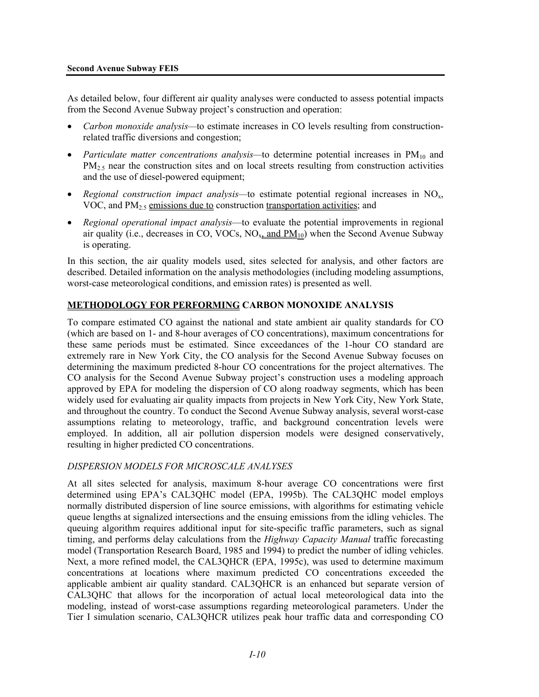As detailed below, four different air quality analyses were conducted to assess potential impacts from the Second Avenue Subway project's construction and operation:

- *Carbon monoxide analysis—*to estimate increases in CO levels resulting from constructionrelated traffic diversions and congestion;
- *Particulate matter concentrations analysis*—to determine potential increases in PM<sub>10</sub> and PM<sub>2.5</sub> near the construction sites and on local streets resulting from construction activities and the use of diesel-powered equipment;
- *Regional construction impact analysis*—to estimate potential regional increases in NO<sub>x</sub>, VOC, and  $PM<sub>2.5</sub>$  emissions due to construction transportation activities; and
- *Regional operational impact analysis*—to evaluate the potential improvements in regional air quality (i.e., decreases in CO, VOCs,  $NO_{x}$  and  $PM_{10}$ ) when the Second Avenue Subway is operating.

In this section, the air quality models used, sites selected for analysis, and other factors are described. Detailed information on the analysis methodologies (including modeling assumptions, worst-case meteorological conditions, and emission rates) is presented as well.

### **METHODOLOGY FOR PERFORMING CARBON MONOXIDE ANALYSIS**

To compare estimated CO against the national and state ambient air quality standards for CO (which are based on 1- and 8-hour averages of CO concentrations), maximum concentrations for these same periods must be estimated. Since exceedances of the 1-hour CO standard are extremely rare in New York City, the CO analysis for the Second Avenue Subway focuses on determining the maximum predicted 8-hour CO concentrations for the project alternatives. The CO analysis for the Second Avenue Subway project's construction uses a modeling approach approved by EPA for modeling the dispersion of CO along roadway segments, which has been widely used for evaluating air quality impacts from projects in New York City, New York State, and throughout the country. To conduct the Second Avenue Subway analysis, several worst-case assumptions relating to meteorology, traffic, and background concentration levels were employed. In addition, all air pollution dispersion models were designed conservatively, resulting in higher predicted CO concentrations.

### *DISPERSION MODELS FOR MICROSCALE ANALYSES*

At all sites selected for analysis, maximum 8-hour average CO concentrations were first determined using EPA's CAL3QHC model (EPA, 1995b). The CAL3QHC model employs normally distributed dispersion of line source emissions, with algorithms for estimating vehicle queue lengths at signalized intersections and the ensuing emissions from the idling vehicles. The queuing algorithm requires additional input for site-specific traffic parameters, such as signal timing, and performs delay calculations from the *Highway Capacity Manual* traffic forecasting model (Transportation Research Board, 1985 and 1994) to predict the number of idling vehicles. Next, a more refined model, the CAL3QHCR (EPA, 1995c), was used to determine maximum concentrations at locations where maximum predicted CO concentrations exceeded the applicable ambient air quality standard. CAL3QHCR is an enhanced but separate version of CAL3QHC that allows for the incorporation of actual local meteorological data into the modeling, instead of worst-case assumptions regarding meteorological parameters. Under the Tier I simulation scenario, CAL3QHCR utilizes peak hour traffic data and corresponding CO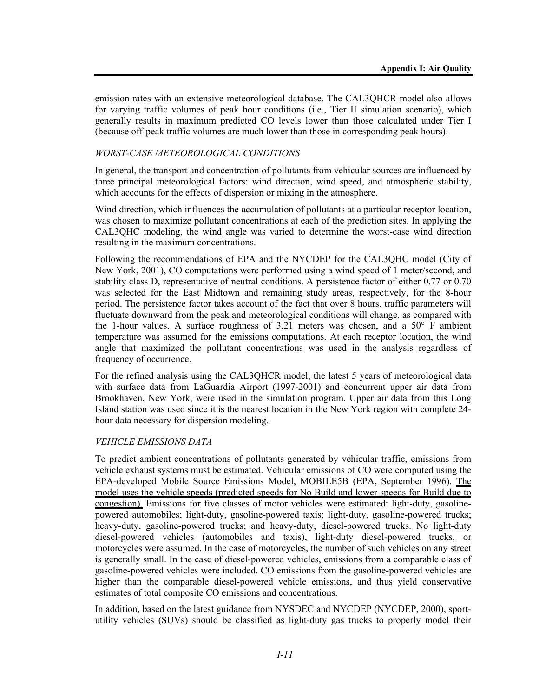emission rates with an extensive meteorological database. The CAL3QHCR model also allows for varying traffic volumes of peak hour conditions (i.e., Tier II simulation scenario), which generally results in maximum predicted CO levels lower than those calculated under Tier I (because off-peak traffic volumes are much lower than those in corresponding peak hours).

### *WORST-CASE METEOROLOGICAL CONDITIONS*

In general, the transport and concentration of pollutants from vehicular sources are influenced by three principal meteorological factors: wind direction, wind speed, and atmospheric stability, which accounts for the effects of dispersion or mixing in the atmosphere.

Wind direction, which influences the accumulation of pollutants at a particular receptor location, was chosen to maximize pollutant concentrations at each of the prediction sites. In applying the CAL3QHC modeling, the wind angle was varied to determine the worst-case wind direction resulting in the maximum concentrations.

Following the recommendations of EPA and the NYCDEP for the CAL3QHC model (City of New York, 2001), CO computations were performed using a wind speed of 1 meter/second, and stability class D, representative of neutral conditions. A persistence factor of either 0.77 or 0.70 was selected for the East Midtown and remaining study areas, respectively, for the 8-hour period. The persistence factor takes account of the fact that over 8 hours, traffic parameters will fluctuate downward from the peak and meteorological conditions will change, as compared with the 1-hour values. A surface roughness of  $3.21$  meters was chosen, and a  $50^{\circ}$  F ambient temperature was assumed for the emissions computations. At each receptor location, the wind angle that maximized the pollutant concentrations was used in the analysis regardless of frequency of occurrence.

For the refined analysis using the CAL3QHCR model, the latest 5 years of meteorological data with surface data from LaGuardia Airport (1997-2001) and concurrent upper air data from Brookhaven, New York, were used in the simulation program. Upper air data from this Long Island station was used since it is the nearest location in the New York region with complete 24 hour data necessary for dispersion modeling.

### *VEHICLE EMISSIONS DATA*

To predict ambient concentrations of pollutants generated by vehicular traffic, emissions from vehicle exhaust systems must be estimated. Vehicular emissions of CO were computed using the EPA-developed Mobile Source Emissions Model, MOBILE5B (EPA, September 1996). The model uses the vehicle speeds (predicted speeds for No Build and lower speeds for Build due to congestion). Emissions for five classes of motor vehicles were estimated: light-duty, gasolinepowered automobiles; light-duty, gasoline-powered taxis; light-duty, gasoline-powered trucks; heavy-duty, gasoline-powered trucks; and heavy-duty, diesel-powered trucks. No light-duty diesel-powered vehicles (automobiles and taxis), light-duty diesel-powered trucks, or motorcycles were assumed. In the case of motorcycles, the number of such vehicles on any street is generally small. In the case of diesel-powered vehicles, emissions from a comparable class of gasoline-powered vehicles were included. CO emissions from the gasoline-powered vehicles are higher than the comparable diesel-powered vehicle emissions, and thus yield conservative estimates of total composite CO emissions and concentrations.

In addition, based on the latest guidance from NYSDEC and NYCDEP (NYCDEP, 2000), sportutility vehicles (SUVs) should be classified as light-duty gas trucks to properly model their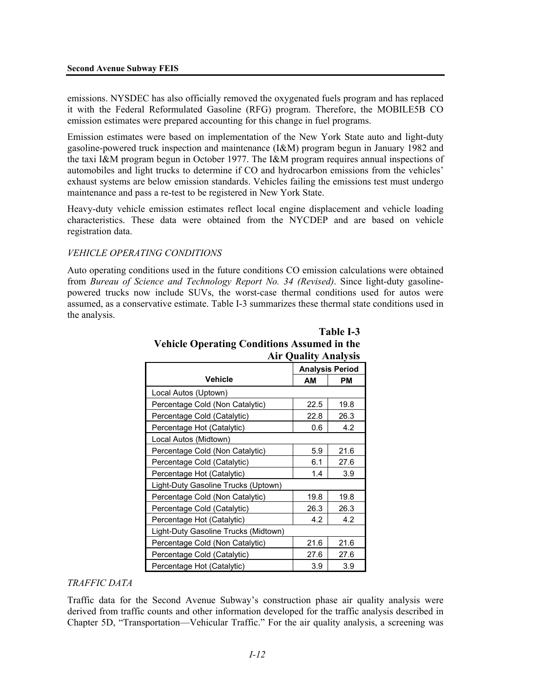emissions. NYSDEC has also officially removed the oxygenated fuels program and has replaced it with the Federal Reformulated Gasoline (RFG) program. Therefore, the MOBILE5B CO emission estimates were prepared accounting for this change in fuel programs.

Emission estimates were based on implementation of the New York State auto and light-duty gasoline-powered truck inspection and maintenance (I&M) program begun in January 1982 and the taxi I&M program begun in October 1977. The I&M program requires annual inspections of automobiles and light trucks to determine if CO and hydrocarbon emissions from the vehicles' exhaust systems are below emission standards. Vehicles failing the emissions test must undergo maintenance and pass a re-test to be registered in New York State.

Heavy-duty vehicle emission estimates reflect local engine displacement and vehicle loading characteristics. These data were obtained from the NYCDEP and are based on vehicle registration data.

### *VEHICLE OPERATING CONDITIONS*

Auto operating conditions used in the future conditions CO emission calculations were obtained from *Bureau of Science and Technology Report No. 34 (Revised)*. Since light-duty gasolinepowered trucks now include SUVs, the worst-case thermal conditions used for autos were assumed, as a conservative estimate. Table I-3 summarizes these thermal state conditions used in the analysis.

|                                      | $\mathbf{y}$ where $\mathbf{y}$ is a set of $\mathbf{y}$ |      |  |
|--------------------------------------|----------------------------------------------------------|------|--|
|                                      | <b>Analysis Period</b>                                   |      |  |
| <b>Vehicle</b>                       | AM                                                       | PМ   |  |
| Local Autos (Uptown)                 |                                                          |      |  |
| Percentage Cold (Non Catalytic)      | 22.5                                                     | 19.8 |  |
| Percentage Cold (Catalytic)          | 22.8                                                     | 26.3 |  |
| Percentage Hot (Catalytic)           | 0.6                                                      | 4.2  |  |
| Local Autos (Midtown)                |                                                          |      |  |
| Percentage Cold (Non Catalytic)      | 5.9                                                      | 21.6 |  |
| Percentage Cold (Catalytic)          | 6.1                                                      | 27.6 |  |
| Percentage Hot (Catalytic)           | 1.4                                                      | 3.9  |  |
| Light-Duty Gasoline Trucks (Uptown)  |                                                          |      |  |
| Percentage Cold (Non Catalytic)      | 19.8                                                     | 19.8 |  |
| Percentage Cold (Catalytic)          | 26.3                                                     | 26.3 |  |
| Percentage Hot (Catalytic)           | 4.2                                                      | 4.2  |  |
| Light-Duty Gasoline Trucks (Midtown) |                                                          |      |  |
| Percentage Cold (Non Catalytic)      | 21.6                                                     | 21.6 |  |
| Percentage Cold (Catalytic)          | 27.6                                                     | 27.6 |  |
| Percentage Hot (Catalytic)           | 3.9                                                      | 3.9  |  |

## **Table I-3 Vehicle Operating Conditions Assumed in the Air Quality Analysis**

### *TRAFFIC DATA*

Traffic data for the Second Avenue Subway's construction phase air quality analysis were derived from traffic counts and other information developed for the traffic analysis described in Chapter 5D, "Transportation—Vehicular Traffic." For the air quality analysis, a screening was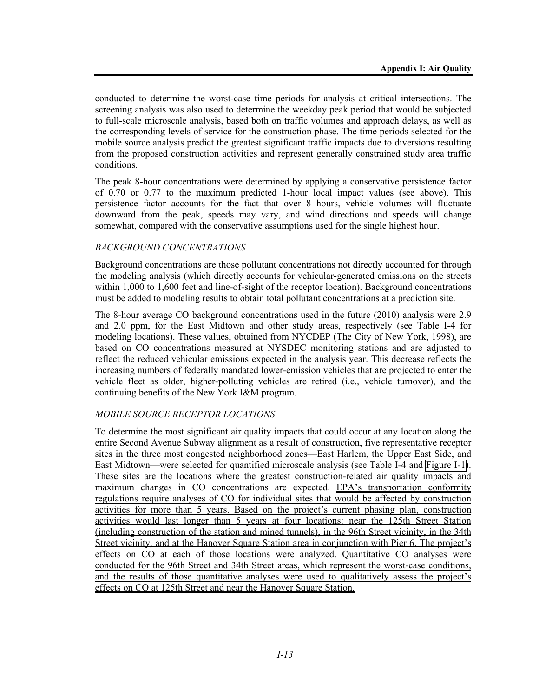conducted to determine the worst-case time periods for analysis at critical intersections. The screening analysis was also used to determine the weekday peak period that would be subjected to full-scale microscale analysis, based both on traffic volumes and approach delays, as well as the corresponding levels of service for the construction phase. The time periods selected for the mobile source analysis predict the greatest significant traffic impacts due to diversions resulting from the proposed construction activities and represent generally constrained study area traffic conditions.

The peak 8-hour concentrations were determined by applying a conservative persistence factor of 0.70 or 0.77 to the maximum predicted 1-hour local impact values (see above). This persistence factor accounts for the fact that over 8 hours, vehicle volumes will fluctuate downward from the peak, speeds may vary, and wind directions and speeds will change somewhat, compared with the conservative assumptions used for the single highest hour.

### *BACKGROUND CONCENTRATIONS*

Background concentrations are those pollutant concentrations not directly accounted for through the modeling analysis (which directly accounts for vehicular-generated emissions on the streets within 1,000 to 1,600 feet and line-of-sight of the receptor location). Background concentrations must be added to modeling results to obtain total pollutant concentrations at a prediction site.

The 8-hour average CO background concentrations used in the future (2010) analysis were 2.9 and 2.0 ppm, for the East Midtown and other study areas, respectively (see Table I-4 for modeling locations). These values, obtained from NYCDEP (The City of New York, 1998), are based on CO concentrations measured at NYSDEC monitoring stations and are adjusted to reflect the reduced vehicular emissions expected in the analysis year. This decrease reflects the increasing numbers of federally mandated lower-emission vehicles that are projected to enter the vehicle fleet as older, higher-polluting vehicles are retired (i.e., vehicle turnover), and the continuing benefits of the New York I&M program.

### *MOBILE SOURCE RECEPTOR LOCATIONS*

To determine the most significant air quality impacts that could occur at any location along the entire Second Avenue Subway alignment as a result of construction, five representative receptor sites in the three most congested neighborhood zones—East Harlem, the Upper East Side, and East Midtown—were selected for quantified microscale analysis (see Table I-4 and Figure I-1). These sites are the locations where the greatest construction-related air quality impacts and maximum changes in CO concentrations are expected. EPA's transportation conformity regulations require analyses of CO for individual sites that would be affected by construction activities for more than 5 years. Based on the project's current phasing plan, construction activities would last longer than 5 years at four locations: near the 125th Street Station (including construction of the station and mined tunnels), in the 96th Street vicinity, in the 34th Street vicinity, and at the Hanover Square Station area in conjunction with Pier 6. The project's effects on CO at each of those locations were analyzed. Quantitative CO analyses were conducted for the 96th Street and 34th Street areas, which represent the worst-case conditions, and the results of those quantitative analyses were used to qualitatively assess the project's effects on CO at 125th Street and near the Hanover Square Station.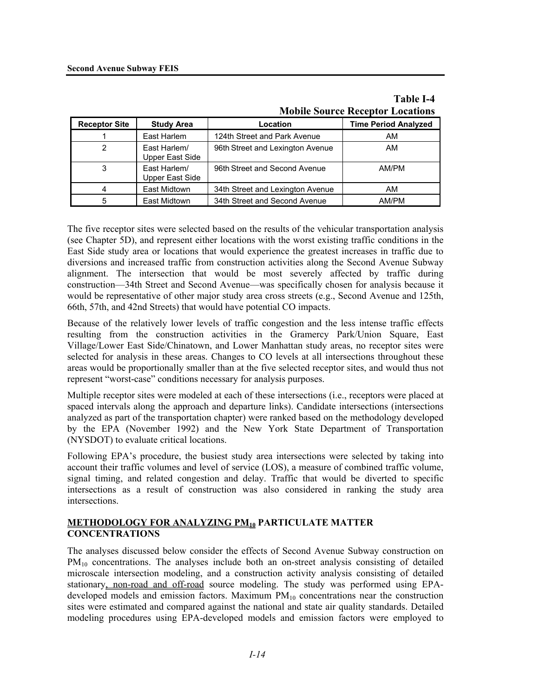# **Table I-4 Mobile Source Receptor Locations**

| <b>Receptor Site</b> | <b>Study Area</b>               | Location                         | <b>Time Period Analyzed</b> |
|----------------------|---------------------------------|----------------------------------|-----------------------------|
|                      | East Harlem                     | 124th Street and Park Avenue     | AM                          |
| 2                    | East Harlem/<br>Upper East Side | 96th Street and Lexington Avenue | AM                          |
| 3                    | East Harlem/<br>Upper East Side | 96th Street and Second Avenue    | AM/PM                       |
|                      | East Midtown                    | 34th Street and Lexington Avenue | AM                          |
| 5                    | East Midtown                    | 34th Street and Second Avenue    | AM/PM                       |

The five receptor sites were selected based on the results of the vehicular transportation analysis (see Chapter 5D), and represent either locations with the worst existing traffic conditions in the East Side study area or locations that would experience the greatest increases in traffic due to diversions and increased traffic from construction activities along the Second Avenue Subway alignment. The intersection that would be most severely affected by traffic during construction—34th Street and Second Avenue—was specifically chosen for analysis because it would be representative of other major study area cross streets (e.g., Second Avenue and 125th, 66th, 57th, and 42nd Streets) that would have potential CO impacts.

Because of the relatively lower levels of traffic congestion and the less intense traffic effects resulting from the construction activities in the Gramercy Park/Union Square, East Village/Lower East Side/Chinatown, and Lower Manhattan study areas, no receptor sites were selected for analysis in these areas. Changes to CO levels at all intersections throughout these areas would be proportionally smaller than at the five selected receptor sites, and would thus not represent "worst-case" conditions necessary for analysis purposes.

Multiple receptor sites were modeled at each of these intersections (i.e., receptors were placed at spaced intervals along the approach and departure links). Candidate intersections (intersections analyzed as part of the transportation chapter) were ranked based on the methodology developed by the EPA (November 1992) and the New York State Department of Transportation (NYSDOT) to evaluate critical locations.

Following EPA's procedure, the busiest study area intersections were selected by taking into account their traffic volumes and level of service (LOS), a measure of combined traffic volume, signal timing, and related congestion and delay. Traffic that would be diverted to specific intersections as a result of construction was also considered in ranking the study area intersections.

## **METHODOLOGY FOR ANALYZING PM10 PARTICULATE MATTER CONCENTRATIONS**

The analyses discussed below consider the effects of Second Avenue Subway construction on PM<sub>10</sub> concentrations. The analyses include both an on-street analysis consisting of detailed microscale intersection modeling, and a construction activity analysis consisting of detailed stationary, non-road and off-road source modeling. The study was performed using EPAdeveloped models and emission factors. Maximum  $PM_{10}$  concentrations near the construction sites were estimated and compared against the national and state air quality standards. Detailed modeling procedures using EPA-developed models and emission factors were employed to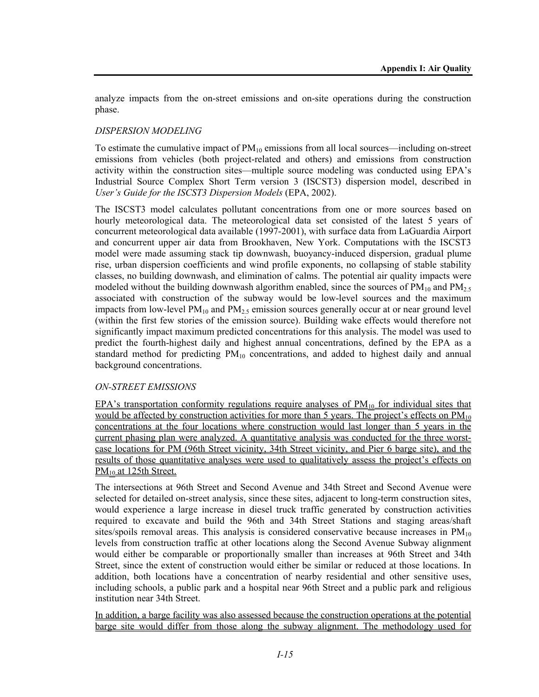analyze impacts from the on-street emissions and on-site operations during the construction phase.

### *DISPERSION MODELING*

To estimate the cumulative impact of  $PM_{10}$  emissions from all local sources—including on-street emissions from vehicles (both project-related and others) and emissions from construction activity within the construction sites—multiple source modeling was conducted using EPA's Industrial Source Complex Short Term version 3 (ISCST3) dispersion model, described in *User's Guide for the ISCST3 Dispersion Models* (EPA, 2002).

The ISCST3 model calculates pollutant concentrations from one or more sources based on hourly meteorological data. The meteorological data set consisted of the latest 5 years of concurrent meteorological data available (1997-2001), with surface data from LaGuardia Airport and concurrent upper air data from Brookhaven, New York. Computations with the ISCST3 model were made assuming stack tip downwash, buoyancy-induced dispersion, gradual plume rise, urban dispersion coefficients and wind profile exponents, no collapsing of stable stability classes, no building downwash, and elimination of calms. The potential air quality impacts were modeled without the building downwash algorithm enabled, since the sources of  $PM_{10}$  and  $PM_{2.5}$ associated with construction of the subway would be low-level sources and the maximum impacts from low-level  $PM_{10}$  and  $PM_{2.5}$  emission sources generally occur at or near ground level (within the first few stories of the emission source). Building wake effects would therefore not significantly impact maximum predicted concentrations for this analysis. The model was used to predict the fourth-highest daily and highest annual concentrations, defined by the EPA as a standard method for predicting PM<sub>10</sub> concentrations, and added to highest daily and annual background concentrations.

### *ON-STREET EMISSIONS*

EPA's transportation conformity regulations require analyses of  $PM<sub>10</sub>$  for individual sites that would be affected by construction activities for more than 5 years. The project's effects on PM<sub>10</sub> concentrations at the four locations where construction would last longer than 5 years in the current phasing plan were analyzed. A quantitative analysis was conducted for the three worstcase locations for PM (96th Street vicinity, 34th Street vicinity, and Pier 6 barge site), and the results of those quantitative analyses were used to qualitatively assess the project's effects on PM<sub>10</sub> at 125th Street.

The intersections at 96th Street and Second Avenue and 34th Street and Second Avenue were selected for detailed on-street analysis, since these sites, adjacent to long-term construction sites, would experience a large increase in diesel truck traffic generated by construction activities required to excavate and build the 96th and 34th Street Stations and staging areas/shaft sites/spoils removal areas. This analysis is considered conservative because increases in  $PM_{10}$ levels from construction traffic at other locations along the Second Avenue Subway alignment would either be comparable or proportionally smaller than increases at 96th Street and 34th Street, since the extent of construction would either be similar or reduced at those locations. In addition, both locations have a concentration of nearby residential and other sensitive uses, including schools, a public park and a hospital near 96th Street and a public park and religious institution near 34th Street.

In addition, a barge facility was also assessed because the construction operations at the potential barge site would differ from those along the subway alignment. The methodology used for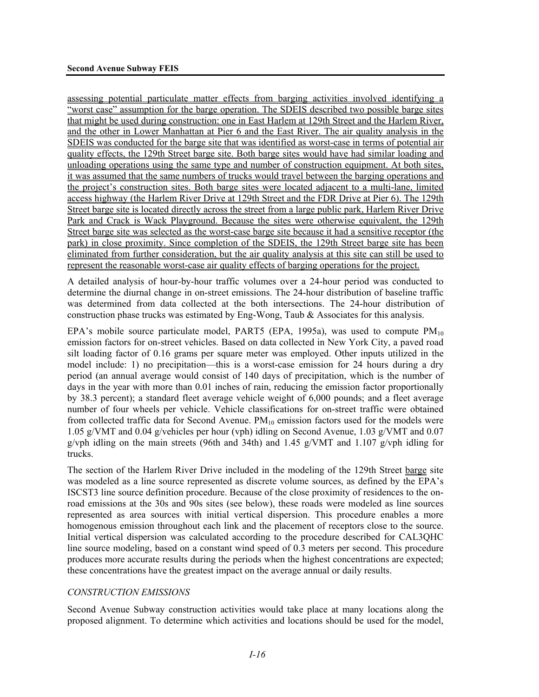assessing potential particulate matter effects from barging activities involved identifying a "worst case" assumption for the barge operation. The SDEIS described two possible barge sites that might be used during construction: one in East Harlem at 129th Street and the Harlem River, and the other in Lower Manhattan at Pier 6 and the East River. The air quality analysis in the SDEIS was conducted for the barge site that was identified as worst-case in terms of potential air quality effects, the 129th Street barge site. Both barge sites would have had similar loading and unloading operations using the same type and number of construction equipment. At both sites, it was assumed that the same numbers of trucks would travel between the barging operations and the project's construction sites. Both barge sites were located adjacent to a multi-lane, limited access highway (the Harlem River Drive at 129th Street and the FDR Drive at Pier 6). The 129th Street barge site is located directly across the street from a large public park, Harlem River Drive Park and Crack is Wack Playground. Because the sites were otherwise equivalent, the 129th Street barge site was selected as the worst-case barge site because it had a sensitive receptor (the park) in close proximity. Since completion of the SDEIS, the 129th Street barge site has been eliminated from further consideration, but the air quality analysis at this site can still be used to represent the reasonable worst-case air quality effects of barging operations for the project.

A detailed analysis of hour-by-hour traffic volumes over a 24-hour period was conducted to determine the diurnal change in on-street emissions. The 24-hour distribution of baseline traffic was determined from data collected at the both intersections. The 24-hour distribution of construction phase trucks was estimated by Eng-Wong, Taub & Associates for this analysis.

EPA's mobile source particulate model, PART5 (EPA, 1995a), was used to compute  $PM_{10}$ emission factors for on-street vehicles. Based on data collected in New York City, a paved road silt loading factor of 0.16 grams per square meter was employed. Other inputs utilized in the model include: 1) no precipitation—this is a worst-case emission for 24 hours during a dry period (an annual average would consist of 140 days of precipitation, which is the number of days in the year with more than 0.01 inches of rain, reducing the emission factor proportionally by 38.3 percent); a standard fleet average vehicle weight of 6,000 pounds; and a fleet average number of four wheels per vehicle. Vehicle classifications for on-street traffic were obtained from collected traffic data for Second Avenue.  $PM_{10}$  emission factors used for the models were 1.05 g/VMT and 0.04 g/vehicles per hour (vph) idling on Second Avenue, 1.03 g/VMT and 0.07 g/vph idling on the main streets (96th and 34th) and 1.45 g/VMT and 1.107 g/vph idling for trucks.

The section of the Harlem River Drive included in the modeling of the 129th Street barge site was modeled as a line source represented as discrete volume sources, as defined by the EPA's ISCST3 line source definition procedure. Because of the close proximity of residences to the onroad emissions at the 30s and 90s sites (see below), these roads were modeled as line sources represented as area sources with initial vertical dispersion. This procedure enables a more homogenous emission throughout each link and the placement of receptors close to the source. Initial vertical dispersion was calculated according to the procedure described for CAL3QHC line source modeling, based on a constant wind speed of 0.3 meters per second. This procedure produces more accurate results during the periods when the highest concentrations are expected; these concentrations have the greatest impact on the average annual or daily results.

### *CONSTRUCTION EMISSIONS*

Second Avenue Subway construction activities would take place at many locations along the proposed alignment. To determine which activities and locations should be used for the model,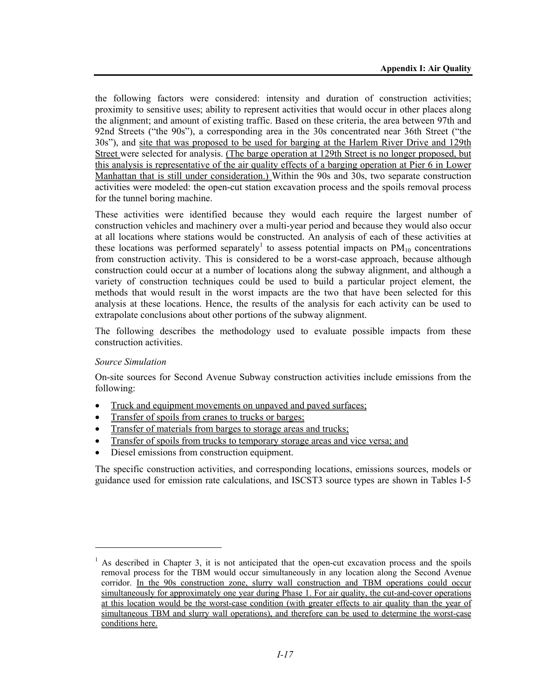the following factors were considered: intensity and duration of construction activities; proximity to sensitive uses; ability to represent activities that would occur in other places along the alignment; and amount of existing traffic. Based on these criteria, the area between 97th and 92nd Streets ("the 90s"), a corresponding area in the 30s concentrated near 36th Street ("the 30s"), and site that was proposed to be used for barging at the Harlem River Drive and 129th Street were selected for analysis. (The barge operation at 129th Street is no longer proposed, but this analysis is representative of the air quality effects of a barging operation at Pier 6 in Lower Manhattan that is still under consideration.) Within the 90s and 30s, two separate construction activities were modeled: the open-cut station excavation process and the spoils removal process for the tunnel boring machine.

These activities were identified because they would each require the largest number of construction vehicles and machinery over a multi-year period and because they would also occur at all locations where stations would be constructed. An analysis of each of these activities at these locations was performed separately<sup>1</sup> to assess potential impacts on  $PM_{10}$  concentrations from construction activity. This is considered to be a worst-case approach, because although construction could occur at a number of locations along the subway alignment, and although a variety of construction techniques could be used to build a particular project element, the methods that would result in the worst impacts are the two that have been selected for this analysis at these locations. Hence, the results of the analysis for each activity can be used to extrapolate conclusions about other portions of the subway alignment.

The following describes the methodology used to evaluate possible impacts from these construction activities.

### *Source Simulation*

l

On-site sources for Second Avenue Subway construction activities include emissions from the following:

- Truck and equipment movements on unpaved and paved surfaces;
- Transfer of spoils from cranes to trucks or barges;
- Transfer of materials from barges to storage areas and trucks;
- Transfer of spoils from trucks to temporary storage areas and vice versa; and
- Diesel emissions from construction equipment.

The specific construction activities, and corresponding locations, emissions sources, models or guidance used for emission rate calculations, and ISCST3 source types are shown in Tables I-5

<sup>&</sup>lt;sup>1</sup> As described in Chapter 3, it is not anticipated that the open-cut excavation process and the spoils removal process for the TBM would occur simultaneously in any location along the Second Avenue corridor. In the 90s construction zone, slurry wall construction and TBM operations could occur simultaneously for approximately one year during Phase 1. For air quality, the cut-and-cover operations at this location would be the worst-case condition (with greater effects to air quality than the year of simultaneous TBM and slurry wall operations), and therefore can be used to determine the worst-case conditions here.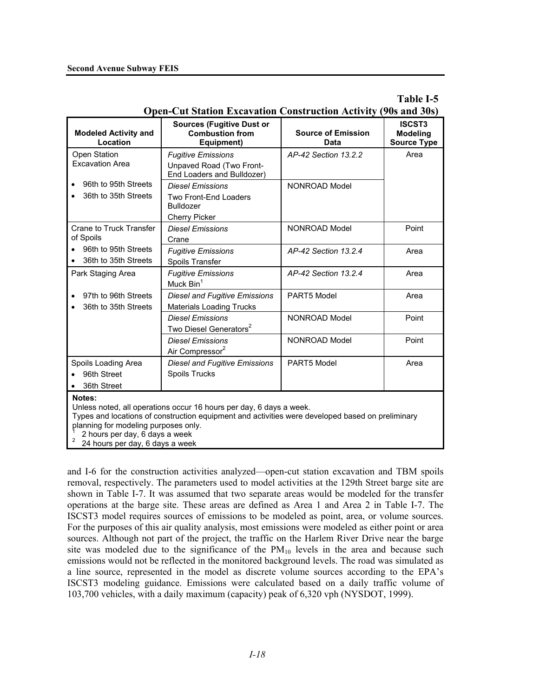|                                                                                                                          | Open-Cut Station Excavation Construction Activity (90s and 30s)                                                                                                         |                                   |                                                        |
|--------------------------------------------------------------------------------------------------------------------------|-------------------------------------------------------------------------------------------------------------------------------------------------------------------------|-----------------------------------|--------------------------------------------------------|
| <b>Modeled Activity and</b><br>Location                                                                                  | <b>Sources (Fugitive Dust or</b><br><b>Combustion from</b><br>Equipment)                                                                                                | <b>Source of Emission</b><br>Data | <b>ISCST3</b><br><b>Modeling</b><br><b>Source Type</b> |
| Open Station<br><b>Excavation Area</b>                                                                                   | <b>Fugitive Emissions</b><br>Unpaved Road (Two Front-<br>End Loaders and Bulldozer)                                                                                     | AP-42 Section 13.2.2              | Area                                                   |
| 96th to 95th Streets<br>36th to 35th Streets                                                                             | <b>Diesel Emissions</b><br><b>Two Front-End Loaders</b><br><b>Bulldozer</b><br><b>Cherry Picker</b>                                                                     | NONROAD Model                     |                                                        |
| Crane to Truck Transfer<br>of Spoils                                                                                     | <b>Diesel Emissions</b><br>Crane                                                                                                                                        | NONROAD Model                     | Point                                                  |
| 96th to 95th Streets<br>36th to 35th Streets                                                                             | <b>Fugitive Emissions</b><br>Spoils Transfer                                                                                                                            | AP-42 Section 13.2.4              | Area                                                   |
| Park Staging Area                                                                                                        | <b>Fugitive Emissions</b><br>Muck Bin <sup>1</sup>                                                                                                                      | AP-42 Section 13.2.4              | Area                                                   |
| 97th to 96th Streets<br>36th to 35th Streets                                                                             | <b>Diesel and Fugitive Emissions</b><br><b>Materials Loading Trucks</b>                                                                                                 | PART5 Model                       | Area                                                   |
|                                                                                                                          | <b>Diesel Emissions</b><br>Two Diesel Generators <sup>2</sup>                                                                                                           | NONROAD Model                     | Point                                                  |
|                                                                                                                          | <b>Diesel Emissions</b><br>Air Compressor <sup>2</sup>                                                                                                                  | NONROAD Model                     | Point                                                  |
| Spoils Loading Area<br>96th Street<br>36th Street                                                                        | <b>Diesel and Fugitive Emissions</b><br>Spoils Trucks                                                                                                                   | PART5 Model                       | Area                                                   |
| Notes:<br>planning for modeling purposes only.<br>2 hours per day, 6 days a week<br>2<br>24 hours per day, 6 days a week | Unless noted, all operations occur 16 hours per day, 6 days a week.<br>Types and locations of construction equipment and activities were developed based on preliminary |                                   |                                                        |

**Table I-5 Open-Cut Station Excavation Construction Activity (90s and 30s)**

and I-6 for the construction activities analyzed—open-cut station excavation and TBM spoils removal, respectively. The parameters used to model activities at the 129th Street barge site are shown in Table I-7. It was assumed that two separate areas would be modeled for the transfer operations at the barge site. These areas are defined as Area 1 and Area 2 in Table I-7. The ISCST3 model requires sources of emissions to be modeled as point, area, or volume sources. For the purposes of this air quality analysis, most emissions were modeled as either point or area sources. Although not part of the project, the traffic on the Harlem River Drive near the barge site was modeled due to the significance of the  $PM_{10}$  levels in the area and because such emissions would not be reflected in the monitored background levels. The road was simulated as a line source, represented in the model as discrete volume sources according to the EPA's ISCST3 modeling guidance. Emissions were calculated based on a daily traffic volume of 103,700 vehicles, with a daily maximum (capacity) peak of 6,320 vph (NYSDOT, 1999).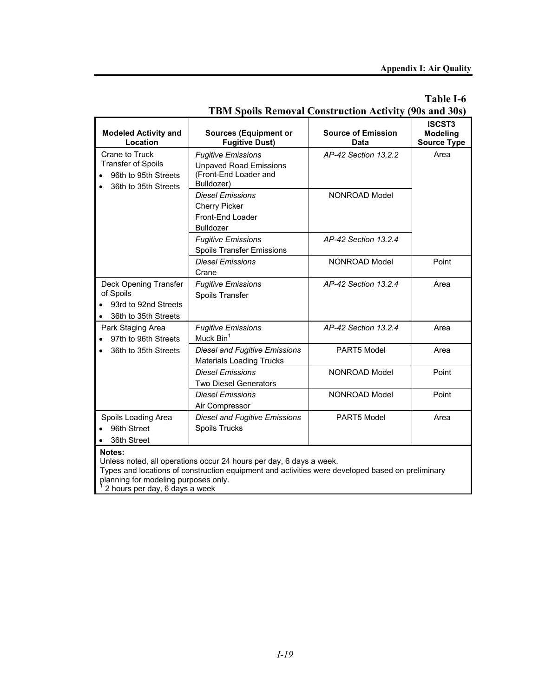# **Table I-6**

|                                                                                                 | <b>TBM Spoils Removal Construction Activity (90s and 30s)</b>                                                                                                                                                                                                                                         |                                   |                                                        |  |  |
|-------------------------------------------------------------------------------------------------|-------------------------------------------------------------------------------------------------------------------------------------------------------------------------------------------------------------------------------------------------------------------------------------------------------|-----------------------------------|--------------------------------------------------------|--|--|
| <b>Modeled Activity and</b><br>Location                                                         | <b>Sources (Equipment or</b><br><b>Fugitive Dust)</b>                                                                                                                                                                                                                                                 | <b>Source of Emission</b><br>Data | <b>ISCST3</b><br><b>Modeling</b><br><b>Source Type</b> |  |  |
| Crane to Truck<br><b>Transfer of Spoils</b><br>96th to 95th Streets<br>36th to 35th Streets     | <b>Fugitive Emissions</b><br><b>Unpaved Road Emissions</b><br>(Front-End Loader and<br>Bulldozer)                                                                                                                                                                                                     | AP-42 Section 13.2.2              | Area                                                   |  |  |
|                                                                                                 | <b>Diesel Emissions</b><br><b>Cherry Picker</b><br>Front-End Loader<br><b>Bulldozer</b>                                                                                                                                                                                                               | NONROAD Model                     |                                                        |  |  |
|                                                                                                 | <b>Fugitive Emissions</b><br><b>Spoils Transfer Emissions</b>                                                                                                                                                                                                                                         | AP-42 Section 13.2.4              |                                                        |  |  |
|                                                                                                 | <b>Diesel Emissions</b><br>Crane                                                                                                                                                                                                                                                                      | NONROAD Model                     | Point                                                  |  |  |
| Deck Opening Transfer<br>of Spoils<br>93rd to 92nd Streets<br>36th to 35th Streets<br>$\bullet$ | <b>Fugitive Emissions</b><br>Spoils Transfer                                                                                                                                                                                                                                                          | AP-42 Section 13.2.4              | Area                                                   |  |  |
| Park Staging Area<br>97th to 96th Streets                                                       | <b>Fugitive Emissions</b><br>Muck Bin <sup>1</sup>                                                                                                                                                                                                                                                    | AP-42 Section 13.2.4              | Area                                                   |  |  |
| 36th to 35th Streets                                                                            | <b>Diesel and Fugitive Emissions</b><br><b>Materials Loading Trucks</b>                                                                                                                                                                                                                               | PART5 Model                       | Area                                                   |  |  |
|                                                                                                 | <b>Diesel Emissions</b><br><b>Two Diesel Generators</b>                                                                                                                                                                                                                                               | NONROAD Model                     | Point                                                  |  |  |
|                                                                                                 | <b>Diesel Emissions</b><br>Air Compressor                                                                                                                                                                                                                                                             | NONROAD Model                     | Point                                                  |  |  |
| Spoils Loading Area<br>96th Street<br>36th Street<br>$\bullet$                                  | <b>Diesel and Fugitive Emissions</b><br>Spoils Trucks                                                                                                                                                                                                                                                 | PART5 Model                       | Area                                                   |  |  |
| Notes:                                                                                          | Unless noted, all operations occur 24 hours per day, 6 days a week.<br>contained to a change in the continuation of the set of the contract of the contract of the containing the contract of the containing of the containing of the containing of the containing of the containing of the containin |                                   |                                                        |  |  |

# Types and locations of construction equipment and activities were developed based on preliminary

planning for modeling purposes only. 1 2 hours per day, 6 days a week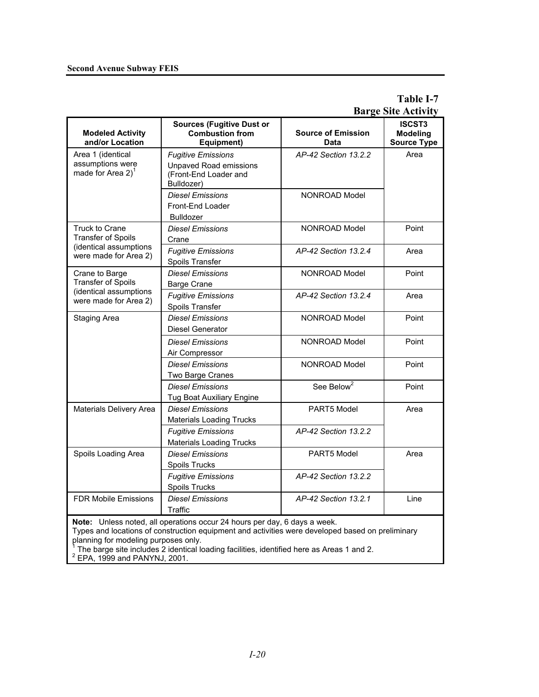### **Second Avenue Subway FEIS**

# **Table I-7 Barge Site Activity**

| <b>Modeled Activity</b><br>and/or Location                          | <b>Sources (Fugitive Dust or</b><br><b>Combustion from</b><br>Equipment)                                                                                                                                                                                                   | <b>Source of Emission</b><br>Data | <b>ISCST3</b><br><b>Modeling</b><br><b>Source Type</b> |
|---------------------------------------------------------------------|----------------------------------------------------------------------------------------------------------------------------------------------------------------------------------------------------------------------------------------------------------------------------|-----------------------------------|--------------------------------------------------------|
| Area 1 (identical<br>assumptions were<br>made for Area $2)^1$       | <b>Fugitive Emissions</b><br><b>Unpaved Road emissions</b><br>(Front-End Loader and<br>Bulldozer)                                                                                                                                                                          | AP-42 Section 13.2.2              | Area                                                   |
|                                                                     | <b>Diesel Emissions</b><br>Front-End Loader<br><b>Bulldozer</b>                                                                                                                                                                                                            | NONROAD Model                     |                                                        |
| Truck to Crane<br><b>Transfer of Spoils</b>                         | <b>Diesel Emissions</b><br>Crane                                                                                                                                                                                                                                           | NONROAD Model                     | Point                                                  |
| (identical assumptions<br>were made for Area 2)                     | <b>Fugitive Emissions</b><br>Spoils Transfer                                                                                                                                                                                                                               | AP-42 Section 13.2.4              | Area                                                   |
| Crane to Barge<br>Transfer of Spoils                                | <b>Diesel Emissions</b><br><b>Barge Crane</b>                                                                                                                                                                                                                              | NONROAD Model                     | Point                                                  |
| (identical assumptions<br>were made for Area 2)                     | <b>Fugitive Emissions</b><br>Spoils Transfer                                                                                                                                                                                                                               | AP-42 Section 13.2.4              | Area                                                   |
| <b>Staging Area</b>                                                 | <b>Diesel Emissions</b><br><b>Diesel Generator</b>                                                                                                                                                                                                                         | NONROAD Model                     | Point                                                  |
|                                                                     | <b>Diesel Emissions</b><br>Air Compressor                                                                                                                                                                                                                                  | NONROAD Model                     | Point                                                  |
|                                                                     | <b>Diesel Emissions</b><br>Two Barge Cranes                                                                                                                                                                                                                                | NONROAD Model                     | Point                                                  |
|                                                                     | <b>Diesel Emissions</b><br><b>Tug Boat Auxiliary Engine</b>                                                                                                                                                                                                                | See Below <sup>2</sup>            | Point                                                  |
| Materials Delivery Area                                             | <b>Diesel Emissions</b><br><b>Materials Loading Trucks</b>                                                                                                                                                                                                                 | PART5 Model                       | Area                                                   |
|                                                                     | <b>Fugitive Emissions</b><br><b>Materials Loading Trucks</b>                                                                                                                                                                                                               | AP-42 Section 13.2.2              |                                                        |
| Spoils Loading Area                                                 | <b>Diesel Emissions</b><br>Spoils Trucks                                                                                                                                                                                                                                   | PART5 Model                       | Area                                                   |
|                                                                     | <b>Fugitive Emissions</b><br><b>Spoils Trucks</b>                                                                                                                                                                                                                          | AP-42 Section 13.2.2              |                                                        |
| <b>FDR Mobile Emissions</b>                                         | <b>Diesel Emissions</b><br>Traffic                                                                                                                                                                                                                                         | AP-42 Section 13.2.1              | Line                                                   |
| planning for modeling purposes only.<br>EPA, 1999 and PANYNJ, 2001. | Note: Unless noted, all operations occur 24 hours per day, 6 days a week.<br>Types and locations of construction equipment and activities were developed based on preliminary<br>The barge site includes 2 identical loading facilities, identified here as Areas 1 and 2. |                                   |                                                        |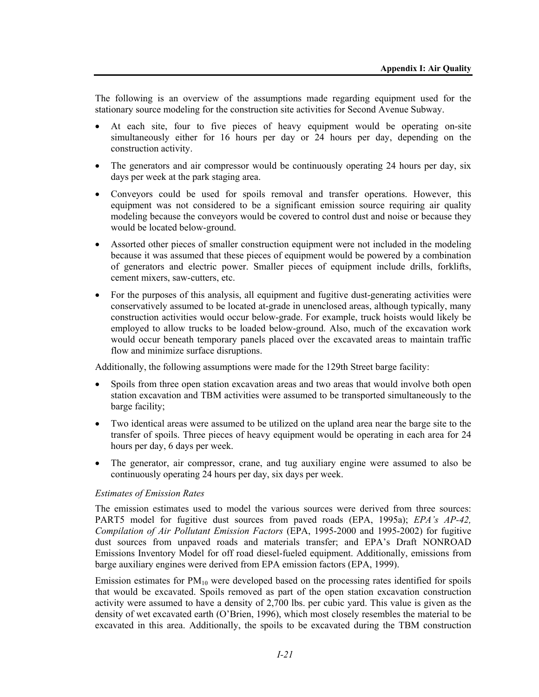The following is an overview of the assumptions made regarding equipment used for the stationary source modeling for the construction site activities for Second Avenue Subway.

- At each site, four to five pieces of heavy equipment would be operating on-site simultaneously either for 16 hours per day or 24 hours per day, depending on the construction activity.
- The generators and air compressor would be continuously operating 24 hours per day, six days per week at the park staging area.
- Conveyors could be used for spoils removal and transfer operations. However, this equipment was not considered to be a significant emission source requiring air quality modeling because the conveyors would be covered to control dust and noise or because they would be located below-ground.
- Assorted other pieces of smaller construction equipment were not included in the modeling because it was assumed that these pieces of equipment would be powered by a combination of generators and electric power. Smaller pieces of equipment include drills, forklifts, cement mixers, saw-cutters, etc.
- For the purposes of this analysis, all equipment and fugitive dust-generating activities were conservatively assumed to be located at-grade in unenclosed areas, although typically, many construction activities would occur below-grade. For example, truck hoists would likely be employed to allow trucks to be loaded below-ground. Also, much of the excavation work would occur beneath temporary panels placed over the excavated areas to maintain traffic flow and minimize surface disruptions.

Additionally, the following assumptions were made for the 129th Street barge facility:

- Spoils from three open station excavation areas and two areas that would involve both open station excavation and TBM activities were assumed to be transported simultaneously to the barge facility;
- Two identical areas were assumed to be utilized on the upland area near the barge site to the transfer of spoils. Three pieces of heavy equipment would be operating in each area for 24 hours per day, 6 days per week.
- The generator, air compressor, crane, and tug auxiliary engine were assumed to also be continuously operating 24 hours per day, six days per week.

### *Estimates of Emission Rates*

The emission estimates used to model the various sources were derived from three sources: PART5 model for fugitive dust sources from paved roads (EPA, 1995a); *EPA's AP-42, Compilation of Air Pollutant Emission Factors* (EPA, 1995-2000 and 1995-2002) for fugitive dust sources from unpaved roads and materials transfer; and EPA's Draft NONROAD Emissions Inventory Model for off road diesel-fueled equipment. Additionally, emissions from barge auxiliary engines were derived from EPA emission factors (EPA, 1999).

Emission estimates for  $PM_{10}$  were developed based on the processing rates identified for spoils that would be excavated. Spoils removed as part of the open station excavation construction activity were assumed to have a density of 2,700 lbs. per cubic yard. This value is given as the density of wet excavated earth (O'Brien, 1996), which most closely resembles the material to be excavated in this area. Additionally, the spoils to be excavated during the TBM construction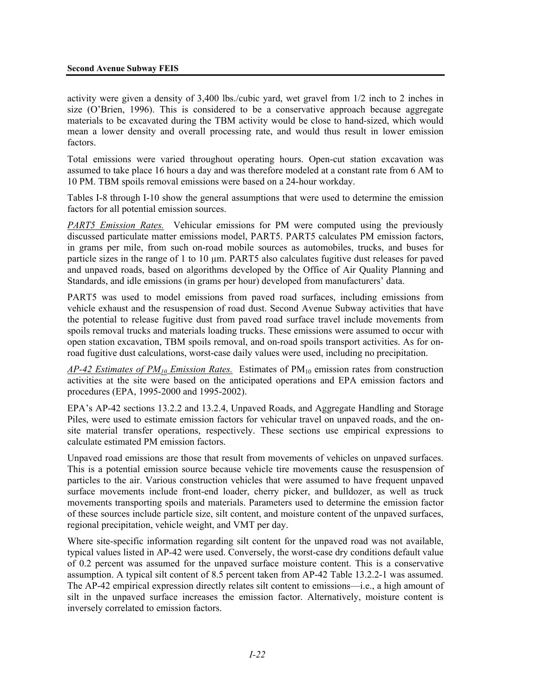activity were given a density of 3,400 lbs./cubic yard, wet gravel from 1/2 inch to 2 inches in size (O'Brien, 1996). This is considered to be a conservative approach because aggregate materials to be excavated during the TBM activity would be close to hand-sized, which would mean a lower density and overall processing rate, and would thus result in lower emission factors.

Total emissions were varied throughout operating hours. Open-cut station excavation was assumed to take place 16 hours a day and was therefore modeled at a constant rate from 6 AM to 10 PM. TBM spoils removal emissions were based on a 24-hour workday.

Tables I-8 through I-10 show the general assumptions that were used to determine the emission factors for all potential emission sources.

*PART5 Emission Rates.* Vehicular emissions for PM were computed using the previously discussed particulate matter emissions model, PART5. PART5 calculates PM emission factors, in grams per mile, from such on-road mobile sources as automobiles, trucks, and buses for particle sizes in the range of 1 to 10  $\mu$ m. PART5 also calculates fugitive dust releases for paved and unpaved roads, based on algorithms developed by the Office of Air Quality Planning and Standards, and idle emissions (in grams per hour) developed from manufacturers' data.

PART5 was used to model emissions from paved road surfaces, including emissions from vehicle exhaust and the resuspension of road dust. Second Avenue Subway activities that have the potential to release fugitive dust from paved road surface travel include movements from spoils removal trucks and materials loading trucks. These emissions were assumed to occur with open station excavation, TBM spoils removal, and on-road spoils transport activities. As for onroad fugitive dust calculations, worst-case daily values were used, including no precipitation.

*AP-42 Estimates of PM10 Emission Rates.* Estimates of PM10 emission rates from construction activities at the site were based on the anticipated operations and EPA emission factors and procedures (EPA, 1995-2000 and 1995-2002).

EPA's AP-42 sections 13.2.2 and 13.2.4, Unpaved Roads, and Aggregate Handling and Storage Piles, were used to estimate emission factors for vehicular travel on unpaved roads, and the onsite material transfer operations, respectively. These sections use empirical expressions to calculate estimated PM emission factors.

Unpaved road emissions are those that result from movements of vehicles on unpaved surfaces. This is a potential emission source because vehicle tire movements cause the resuspension of particles to the air. Various construction vehicles that were assumed to have frequent unpaved surface movements include front-end loader, cherry picker, and bulldozer, as well as truck movements transporting spoils and materials. Parameters used to determine the emission factor of these sources include particle size, silt content, and moisture content of the unpaved surfaces, regional precipitation, vehicle weight, and VMT per day.

Where site-specific information regarding silt content for the unpaved road was not available, typical values listed in AP-42 were used. Conversely, the worst-case dry conditions default value of 0.2 percent was assumed for the unpaved surface moisture content. This is a conservative assumption. A typical silt content of 8.5 percent taken from AP-42 Table 13.2.2-1 was assumed. The AP-42 empirical expression directly relates silt content to emissions—i.e., a high amount of silt in the unpaved surface increases the emission factor. Alternatively, moisture content is inversely correlated to emission factors.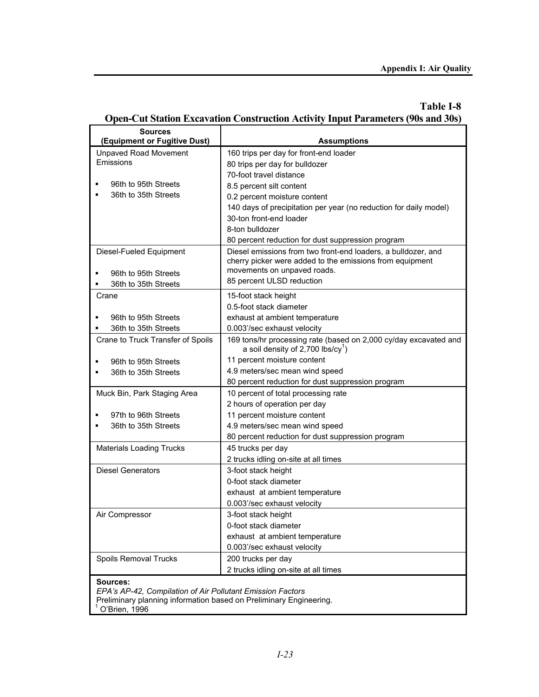# **Table I-8 Open-Cut Station Excavation Construction Activity Input Parameters (90s and 30s)**

| <b>Sources</b>                                                     |                                                                   |
|--------------------------------------------------------------------|-------------------------------------------------------------------|
| (Equipment or Fugitive Dust)                                       | <b>Assumptions</b>                                                |
| <b>Unpaved Road Movement</b>                                       | 160 trips per day for front-end loader                            |
| <b>Emissions</b>                                                   | 80 trips per day for bulldozer                                    |
|                                                                    | 70-foot travel distance                                           |
| 96th to 95th Streets<br>٠                                          | 8.5 percent silt content                                          |
| 36th to 35th Streets<br>٠                                          | 0.2 percent moisture content                                      |
|                                                                    | 140 days of precipitation per year (no reduction for daily model) |
|                                                                    | 30-ton front-end loader                                           |
|                                                                    | 8-ton bulldozer                                                   |
|                                                                    | 80 percent reduction for dust suppression program                 |
| Diesel-Fueled Equipment                                            | Diesel emissions from two front-end loaders, a bulldozer, and     |
|                                                                    | cherry picker were added to the emissions from equipment          |
| 96th to 95th Streets                                               | movements on unpaved roads.                                       |
| 36th to 35th Streets                                               | 85 percent ULSD reduction                                         |
| Crane                                                              | 15-foot stack height                                              |
|                                                                    | 0.5-foot stack diameter                                           |
| 96th to 95th Streets                                               | exhaust at ambient temperature                                    |
| 36th to 35th Streets                                               | 0.003'/sec exhaust velocity                                       |
| Crane to Truck Transfer of Spoils                                  | 169 tons/hr processing rate (based on 2,000 cy/day excavated and  |
|                                                                    | a soil density of $2,700$ lbs/cy <sup>1</sup> )                   |
| 96th to 95th Streets                                               | 11 percent moisture content                                       |
| 36th to 35th Streets                                               | 4.9 meters/sec mean wind speed                                    |
|                                                                    | 80 percent reduction for dust suppression program                 |
| Muck Bin, Park Staging Area                                        | 10 percent of total processing rate                               |
|                                                                    | 2 hours of operation per day                                      |
| 97th to 96th Streets                                               | 11 percent moisture content                                       |
| 36th to 35th Streets<br>п                                          | 4.9 meters/sec mean wind speed                                    |
|                                                                    | 80 percent reduction for dust suppression program                 |
| <b>Materials Loading Trucks</b>                                    | 45 trucks per day                                                 |
|                                                                    | 2 trucks idling on-site at all times                              |
| <b>Diesel Generators</b>                                           | 3-foot stack height                                               |
|                                                                    | 0-foot stack diameter                                             |
|                                                                    | exhaust at ambient temperature                                    |
|                                                                    | 0.003'/sec exhaust velocity                                       |
| Air Compressor                                                     | 3-foot stack height                                               |
|                                                                    | 0-foot stack diameter                                             |
|                                                                    | exhaust at ambient temperature                                    |
|                                                                    | 0.003'/sec exhaust velocity                                       |
| Spoils Removal Trucks                                              | 200 trucks per day                                                |
|                                                                    | 2 trucks idling on-site at all times                              |
| Sources:                                                           |                                                                   |
| EPA's AP-42, Compilation of Air Pollutant Emission Factors         |                                                                   |
| Preliminary planning information based on Preliminary Engineering. |                                                                   |
| O'Brien, 1996                                                      |                                                                   |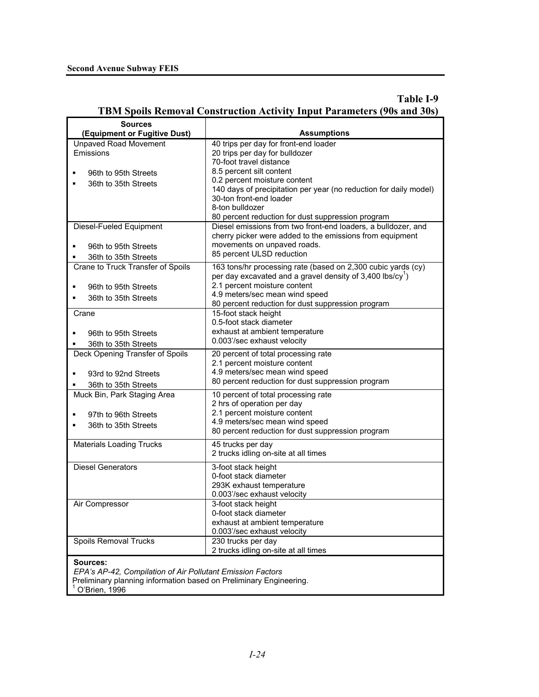# **Table I-9 TBM Spoils Removal Construction Activity Input Parameters (90s and 30s)**

| Sources                                                                                                                          |                                                                                              |
|----------------------------------------------------------------------------------------------------------------------------------|----------------------------------------------------------------------------------------------|
| (Equipment or Fugitive Dust)                                                                                                     | <b>Assumptions</b>                                                                           |
| <b>Unpaved Road Movement</b>                                                                                                     | 40 trips per day for front-end loader                                                        |
| Emissions                                                                                                                        | 20 trips per day for bulldozer                                                               |
|                                                                                                                                  | 70-foot travel distance                                                                      |
| 96th to 95th Streets<br>٠                                                                                                        | 8.5 percent silt content                                                                     |
| 36th to 35th Streets<br>٠                                                                                                        | 0.2 percent moisture content                                                                 |
|                                                                                                                                  | 140 days of precipitation per year (no reduction for daily model)<br>30-ton front-end loader |
|                                                                                                                                  | 8-ton bulldozer                                                                              |
|                                                                                                                                  | 80 percent reduction for dust suppression program                                            |
| Diesel-Fueled Equipment                                                                                                          | Diesel emissions from two front-end loaders, a bulldozer, and                                |
|                                                                                                                                  | cherry picker were added to the emissions from equipment                                     |
| 96th to 95th Streets<br>٠                                                                                                        | movements on unpaved roads.                                                                  |
| 36th to 35th Streets                                                                                                             | 85 percent ULSD reduction                                                                    |
| Crane to Truck Transfer of Spoils                                                                                                | 163 tons/hr processing rate (based on 2,300 cubic yards (cy)                                 |
|                                                                                                                                  | per day excavated and a gravel density of $3,400$ lbs/cy <sup>1</sup> )                      |
| 96th to 95th Streets<br>٠                                                                                                        | 2.1 percent moisture content                                                                 |
| 36th to 35th Streets<br>٠                                                                                                        | 4.9 meters/sec mean wind speed                                                               |
|                                                                                                                                  | 80 percent reduction for dust suppression program                                            |
| Crane                                                                                                                            | 15-foot stack height                                                                         |
|                                                                                                                                  | 0.5-foot stack diameter                                                                      |
| 96th to 95th Streets<br>٠                                                                                                        | exhaust at ambient temperature                                                               |
| 36th to 35th Streets                                                                                                             | 0.003'/sec exhaust velocity                                                                  |
| Deck Opening Transfer of Spoils                                                                                                  | 20 percent of total processing rate                                                          |
|                                                                                                                                  | 2.1 percent moisture content                                                                 |
| 93rd to 92nd Streets<br>٠                                                                                                        | 4.9 meters/sec mean wind speed                                                               |
| 36th to 35th Streets                                                                                                             | 80 percent reduction for dust suppression program                                            |
| Muck Bin, Park Staging Area                                                                                                      | 10 percent of total processing rate                                                          |
|                                                                                                                                  | 2 hrs of operation per day                                                                   |
| 97th to 96th Streets<br>$\blacksquare$                                                                                           | 2.1 percent moisture content                                                                 |
| 36th to 35th Streets<br>$\blacksquare$                                                                                           | 4.9 meters/sec mean wind speed                                                               |
|                                                                                                                                  | 80 percent reduction for dust suppression program                                            |
| <b>Materials Loading Trucks</b>                                                                                                  | 45 trucks per day                                                                            |
|                                                                                                                                  | 2 trucks idling on-site at all times                                                         |
| <b>Diesel Generators</b>                                                                                                         | 3-foot stack height                                                                          |
|                                                                                                                                  | 0-foot stack diameter                                                                        |
|                                                                                                                                  | 293K exhaust temperature                                                                     |
|                                                                                                                                  | 0.003'/sec exhaust velocity                                                                  |
| Air Compressor                                                                                                                   | 3-foot stack height                                                                          |
|                                                                                                                                  | 0-foot stack diameter                                                                        |
|                                                                                                                                  | exhaust at ambient temperature                                                               |
|                                                                                                                                  | 0.003'/sec exhaust velocity                                                                  |
| Spoils Removal Trucks                                                                                                            | 230 trucks per day<br>2 trucks idling on-site at all times                                   |
|                                                                                                                                  |                                                                                              |
| Sources:                                                                                                                         |                                                                                              |
| EPA's AP-42, Compilation of Air Pollutant Emission Factors<br>Preliminary planning information based on Preliminary Engineering. |                                                                                              |
| O'Brien, 1996                                                                                                                    |                                                                                              |
|                                                                                                                                  |                                                                                              |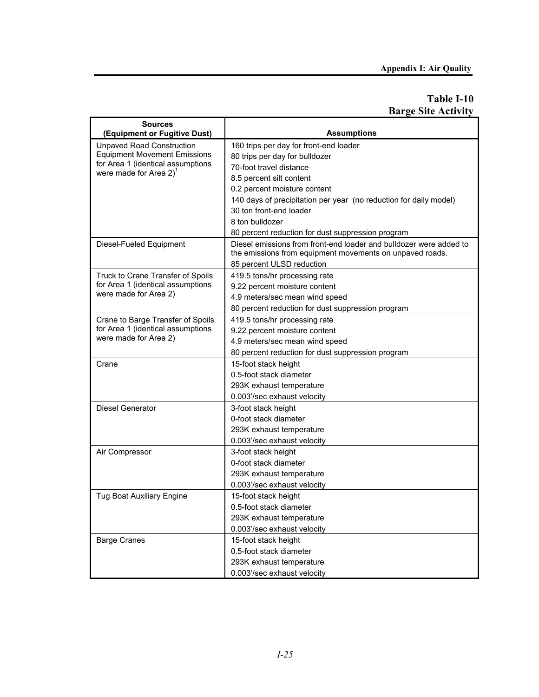# **Table I-10 Barge Site Activity**

| <b>Sources</b><br>(Equipment or Fugitive Dust)             | <b>Assumptions</b>                                                                                                             |  |  |
|------------------------------------------------------------|--------------------------------------------------------------------------------------------------------------------------------|--|--|
| Unpaved Road Construction                                  | 160 trips per day for front-end loader                                                                                         |  |  |
| <b>Equipment Movement Emissions</b>                        | 80 trips per day for bulldozer                                                                                                 |  |  |
| for Area 1 (identical assumptions                          | 70-foot travel distance                                                                                                        |  |  |
| were made for Area $2)^1$                                  | 8.5 percent silt content                                                                                                       |  |  |
|                                                            | 0.2 percent moisture content                                                                                                   |  |  |
|                                                            | 140 days of precipitation per year (no reduction for daily model)                                                              |  |  |
|                                                            | 30 ton front-end loader                                                                                                        |  |  |
|                                                            | 8 ton bulldozer                                                                                                                |  |  |
|                                                            | 80 percent reduction for dust suppression program                                                                              |  |  |
| Diesel-Fueled Equipment                                    | Diesel emissions from front-end loader and bulldozer were added to<br>the emissions from equipment movements on unpaved roads. |  |  |
|                                                            | 85 percent ULSD reduction                                                                                                      |  |  |
| Truck to Crane Transfer of Spoils                          | 419.5 tons/hr processing rate                                                                                                  |  |  |
| for Area 1 (identical assumptions<br>were made for Area 2) | 9.22 percent moisture content                                                                                                  |  |  |
|                                                            | 4.9 meters/sec mean wind speed                                                                                                 |  |  |
|                                                            | 80 percent reduction for dust suppression program                                                                              |  |  |
| Crane to Barge Transfer of Spoils                          | 419.5 tons/hr processing rate                                                                                                  |  |  |
| for Area 1 (identical assumptions<br>were made for Area 2) | 9.22 percent moisture content                                                                                                  |  |  |
|                                                            | 4.9 meters/sec mean wind speed                                                                                                 |  |  |
|                                                            | 80 percent reduction for dust suppression program                                                                              |  |  |
| Crane                                                      | 15-foot stack height                                                                                                           |  |  |
|                                                            | 0.5-foot stack diameter                                                                                                        |  |  |
|                                                            | 293K exhaust temperature                                                                                                       |  |  |
|                                                            | 0.003'/sec exhaust velocity                                                                                                    |  |  |
| <b>Diesel Generator</b>                                    | 3-foot stack height                                                                                                            |  |  |
|                                                            | 0-foot stack diameter                                                                                                          |  |  |
|                                                            | 293K exhaust temperature                                                                                                       |  |  |
|                                                            | 0.003'/sec exhaust velocity                                                                                                    |  |  |
| Air Compressor                                             | 3-foot stack height                                                                                                            |  |  |
|                                                            | 0-foot stack diameter                                                                                                          |  |  |
|                                                            | 293K exhaust temperature                                                                                                       |  |  |
|                                                            | 0.003'/sec exhaust velocity                                                                                                    |  |  |
| <b>Tug Boat Auxiliary Engine</b>                           | 15-foot stack height                                                                                                           |  |  |
|                                                            | 0.5-foot stack diameter                                                                                                        |  |  |
|                                                            | 293K exhaust temperature                                                                                                       |  |  |
|                                                            | 0.003'/sec exhaust velocity                                                                                                    |  |  |
| <b>Barge Cranes</b>                                        | 15-foot stack height                                                                                                           |  |  |
|                                                            | 0.5-foot stack diameter                                                                                                        |  |  |
|                                                            | 293K exhaust temperature                                                                                                       |  |  |
|                                                            | 0.003'/sec exhaust velocity                                                                                                    |  |  |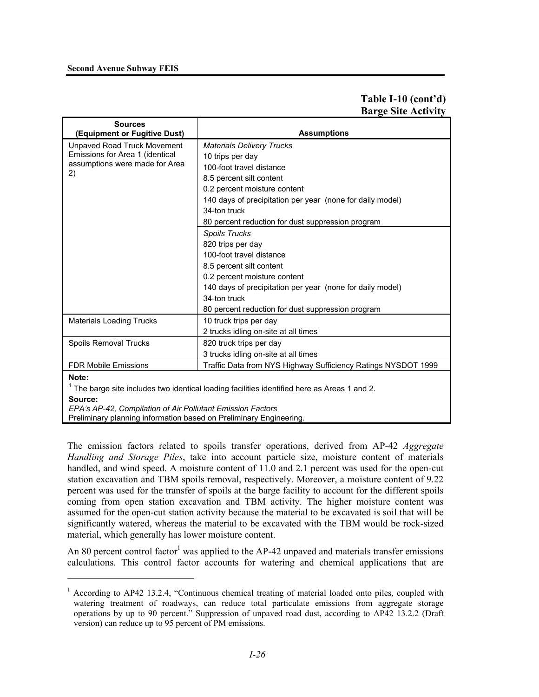### **Second Avenue Subway FEIS**

### **Table I-10 (cont'd) Barge Site Activity**

| <b>Sources</b><br>(Equipment or Fugitive Dust)             | <b>Assumptions</b>                                                                         |
|------------------------------------------------------------|--------------------------------------------------------------------------------------------|
| Unpaved Road Truck Movement                                | <b>Materials Delivery Trucks</b>                                                           |
| Emissions for Area 1 (identical                            | 10 trips per day                                                                           |
| assumptions were made for Area                             | 100-foot travel distance                                                                   |
| 2)                                                         | 8.5 percent silt content                                                                   |
|                                                            | 0.2 percent moisture content                                                               |
|                                                            | 140 days of precipitation per year (none for daily model)                                  |
|                                                            | 34-ton truck                                                                               |
|                                                            | 80 percent reduction for dust suppression program                                          |
|                                                            | <b>Spoils Trucks</b>                                                                       |
|                                                            | 820 trips per day                                                                          |
|                                                            | 100-foot travel distance                                                                   |
|                                                            | 8.5 percent silt content                                                                   |
|                                                            | 0.2 percent moisture content                                                               |
|                                                            | 140 days of precipitation per year (none for daily model)                                  |
|                                                            | 34-ton truck                                                                               |
|                                                            | 80 percent reduction for dust suppression program                                          |
| <b>Materials Loading Trucks</b>                            | 10 truck trips per day                                                                     |
|                                                            | 2 trucks idling on-site at all times                                                       |
| Spoils Removal Trucks                                      | 820 truck trips per day                                                                    |
|                                                            | 3 trucks idling on-site at all times                                                       |
| <b>FDR Mobile Emissions</b>                                | Traffic Data from NYS Highway Sufficiency Ratings NYSDOT 1999                              |
| Note:                                                      |                                                                                            |
|                                                            | The barge site includes two identical loading facilities identified here as Areas 1 and 2. |
| Source:                                                    |                                                                                            |
| EPA's AP-42, Compilation of Air Pollutant Emission Factors |                                                                                            |

Preliminary planning information based on Preliminary Engineering.

l

The emission factors related to spoils transfer operations, derived from AP-42 *Aggregate Handling and Storage Piles*, take into account particle size, moisture content of materials handled, and wind speed. A moisture content of 11.0 and 2.1 percent was used for the open-cut station excavation and TBM spoils removal, respectively. Moreover, a moisture content of 9.22 percent was used for the transfer of spoils at the barge facility to account for the different spoils coming from open station excavation and TBM activity. The higher moisture content was assumed for the open-cut station activity because the material to be excavated is soil that will be significantly watered, whereas the material to be excavated with the TBM would be rock-sized material, which generally has lower moisture content.

An 80 percent control factor<sup>1</sup> was applied to the AP-42 unpaved and materials transfer emissions calculations. This control factor accounts for watering and chemical applications that are

<sup>&</sup>lt;sup>1</sup> According to AP42 13.2.4, "Continuous chemical treating of material loaded onto piles, coupled with watering treatment of roadways, can reduce total particulate emissions from aggregate storage operations by up to 90 percent." Suppression of unpaved road dust, according to AP42 13.2.2 (Draft version) can reduce up to 95 percent of PM emissions.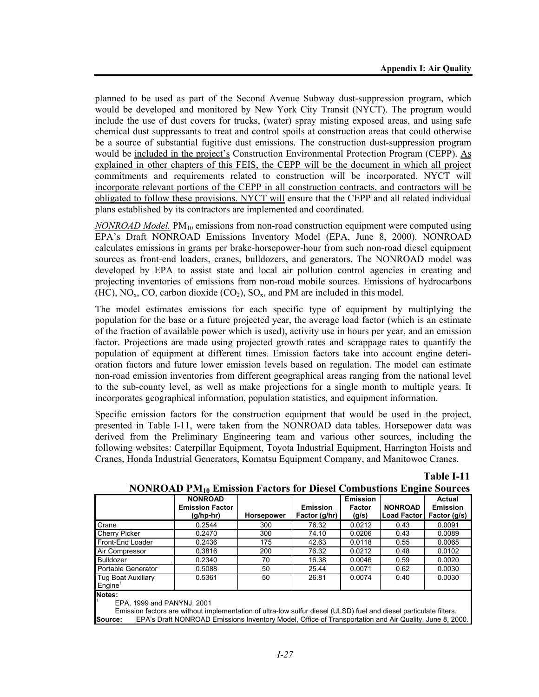**Table I-11**

planned to be used as part of the Second Avenue Subway dust-suppression program, which would be developed and monitored by New York City Transit (NYCT). The program would include the use of dust covers for trucks, (water) spray misting exposed areas, and using safe chemical dust suppressants to treat and control spoils at construction areas that could otherwise be a source of substantial fugitive dust emissions. The construction dust-suppression program would be included in the project's Construction Environmental Protection Program (CEPP). As explained in other chapters of this FEIS, the CEPP will be the document in which all project commitments and requirements related to construction will be incorporated. NYCT will incorporate relevant portions of the CEPP in all construction contracts, and contractors will be obligated to follow these provisions. NYCT will ensure that the CEPP and all related individual plans established by its contractors are implemented and coordinated.

*NONROAD Model.* PM<sub>10</sub> emissions from non-road construction equipment were computed using EPA's Draft NONROAD Emissions Inventory Model (EPA, June 8, 2000). NONROAD calculates emissions in grams per brake-horsepower-hour from such non-road diesel equipment sources as front-end loaders, cranes, bulldozers, and generators. The NONROAD model was developed by EPA to assist state and local air pollution control agencies in creating and projecting inventories of emissions from non-road mobile sources. Emissions of hydrocarbons (HC),  $NO_x$ , CO, carbon dioxide (CO<sub>2</sub>), SO<sub>x</sub>, and PM are included in this model.

The model estimates emissions for each specific type of equipment by multiplying the population for the base or a future projected year, the average load factor (which is an estimate of the fraction of available power which is used), activity use in hours per year, and an emission factor. Projections are made using projected growth rates and scrappage rates to quantify the population of equipment at different times. Emission factors take into account engine deterioration factors and future lower emission levels based on regulation. The model can estimate non-road emission inventories from different geographical areas ranging from the national level to the sub-county level, as well as make projections for a single month to multiple years. It incorporates geographical information, population statistics, and equipment information.

Specific emission factors for the construction equipment that would be used in the project, presented in Table I-11, were taken from the NONROAD data tables. Horsepower data was derived from the Preliminary Engineering team and various other sources, including the following websites: Caterpillar Equipment, Toyota Industrial Equipment, Harrington Hoists and Cranes, Honda Industrial Generators, Komatsu Equipment Company, and Manitowoc Cranes.

|                                                  | <b>NONROAD</b><br><b>Emission Factor</b><br>$(g/hp-hr)$ | <b>Horsepower</b> | <b>Emission</b><br>Factor (g/hr) | <b>Emission</b><br>Factor<br>(g/s) | <b>NONROAD</b><br><b>Load Factor</b> | Actual<br><b>Emission</b><br>Factor (g/s) |
|--------------------------------------------------|---------------------------------------------------------|-------------------|----------------------------------|------------------------------------|--------------------------------------|-------------------------------------------|
| Crane                                            | 0.2544                                                  | 300               | 76.32                            | 0.0212                             | 0.43                                 | 0.0091                                    |
| Cherry Picker                                    | 0.2470                                                  | 300               | 74.10                            | 0.0206                             | 0.43                                 | 0.0089                                    |
| Front-End Loader                                 | 0.2436                                                  | 175               | 42.63                            | 0.0118                             | 0.55                                 | 0.0065                                    |
| Air Compressor                                   | 0.3816                                                  | 200               | 76.32                            | 0.0212                             | 0.48                                 | 0.0102                                    |
| <b>Bulldozer</b>                                 | 0.2340                                                  | 70                | 16.38                            | 0.0046                             | 0.59                                 | 0.0020                                    |
| Portable Generator                               | 0.5088                                                  | 50                | 25.44                            | 0.0071                             | 0.62                                 | 0.0030                                    |
| <b>Tug Boat Auxiliary</b><br>Engine <sup>1</sup> | 0.5361                                                  | 50                | 26.81                            | 0.0074                             | 0.40                                 | 0.0030                                    |
| Notes:                                           |                                                         |                   |                                  |                                    |                                      |                                           |

**NONROAD PM10 Emission Factors for Diesel Combustions Engine Sources**

EPA, 1999 and PANYNJ, 2001

1

 Emission factors are without implementation of ultra-low sulfur diesel (ULSD) fuel and diesel particulate filters. **Source:** EPA's Draft NONROAD Emissions Inventory Model, Office of Transportation and Air Quality, June 8, 2000.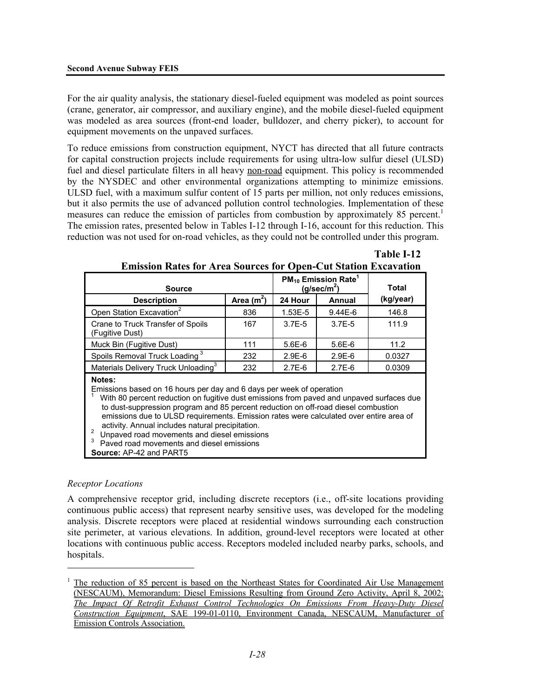For the air quality analysis, the stationary diesel-fueled equipment was modeled as point sources (crane, generator, air compressor, and auxiliary engine), and the mobile diesel-fueled equipment was modeled as area sources (front-end loader, bulldozer, and cherry picker), to account for equipment movements on the unpaved surfaces.

To reduce emissions from construction equipment, NYCT has directed that all future contracts for capital construction projects include requirements for using ultra-low sulfur diesel (ULSD) fuel and diesel particulate filters in all heavy non-road equipment. This policy is recommended by the NYSDEC and other environmental organizations attempting to minimize emissions. ULSD fuel, with a maximum sulfur content of 15 parts per million, not only reduces emissions, but it also permits the use of advanced pollution control technologies. Implementation of these measures can reduce the emission of particles from combustion by approximately 85 percent.<sup>1</sup> The emission rates, presented below in Tables I-12 through I-16, account for this reduction. This reduction was not used for on-road vehicles, as they could not be controlled under this program.

| <b>Source</b>                                                                                                                                                                                                                                                                                                                                                                                                                                                                                                                                                       |             | $PM_{10}$ Emission Rate <sup>1</sup><br>(q/sec/m <sup>2</sup> ) | Total      |           |
|---------------------------------------------------------------------------------------------------------------------------------------------------------------------------------------------------------------------------------------------------------------------------------------------------------------------------------------------------------------------------------------------------------------------------------------------------------------------------------------------------------------------------------------------------------------------|-------------|-----------------------------------------------------------------|------------|-----------|
| <b>Description</b>                                                                                                                                                                                                                                                                                                                                                                                                                                                                                                                                                  | Area $(m2)$ | 24 Hour                                                         | Annual     | (kg/year) |
| Open Station Excavation <sup>2</sup>                                                                                                                                                                                                                                                                                                                                                                                                                                                                                                                                | 836         | 1.53E-5                                                         | $9.44E-6$  | 146.8     |
| Crane to Truck Transfer of Spoils<br>(Fugitive Dust)                                                                                                                                                                                                                                                                                                                                                                                                                                                                                                                | 167         | $3.7E - 5$                                                      | $3.7E - 5$ | 111.9     |
| Muck Bin (Fugitive Dust)                                                                                                                                                                                                                                                                                                                                                                                                                                                                                                                                            | 111         | $5.6E-6$                                                        | $5.6E-6$   | 11.2      |
| Spoils Removal Truck Loading <sup>3</sup>                                                                                                                                                                                                                                                                                                                                                                                                                                                                                                                           | 232         | $2.9E-6$                                                        | $2.9E-6$   | 0.0327    |
| Materials Delivery Truck Unloading <sup>3</sup>                                                                                                                                                                                                                                                                                                                                                                                                                                                                                                                     | 232         | $2.7E-6$                                                        | $2.7E-6$   | 0.0309    |
| Notes:<br>Emissions based on 16 hours per day and 6 days per week of operation<br>With 80 percent reduction on fugitive dust emissions from paved and unpaved surfaces due<br>to dust-suppression program and 85 percent reduction on off-road diesel combustion<br>emissions due to ULSD requirements. Emission rates were calculated over entire area of<br>activity. Annual includes natural precipitation.<br>$\overline{2}$<br>Unpaved road movements and diesel emissions<br>3<br>Paved road movements and diesel emissions<br><b>Source: AP-42 and PART5</b> |             |                                                                 |            |           |

# **Emission Rates for Area Sources for Open-Cut Station Excavation**

**Table I-12** 

### *Receptor Locations*

l

A comprehensive receptor grid, including discrete receptors (i.e., off-site locations providing continuous public access) that represent nearby sensitive uses, was developed for the modeling analysis. Discrete receptors were placed at residential windows surrounding each construction site perimeter, at various elevations. In addition, ground-level receptors were located at other locations with continuous public access. Receptors modeled included nearby parks, schools, and hospitals.

<sup>1</sup> The reduction of 85 percent is based on the Northeast States for Coordinated Air Use Management (NESCAUM), Memorandum: Diesel Emissions Resulting from Ground Zero Activity, April 8, 2002; *The Impact Of Retrofit Exhaust Control Technologies On Emissions From Heavy-Duty Diesel Construction Equipment*, SAE 199-01-0110, Environment Canada, NESCAUM, Manufacturer Emission Controls Association.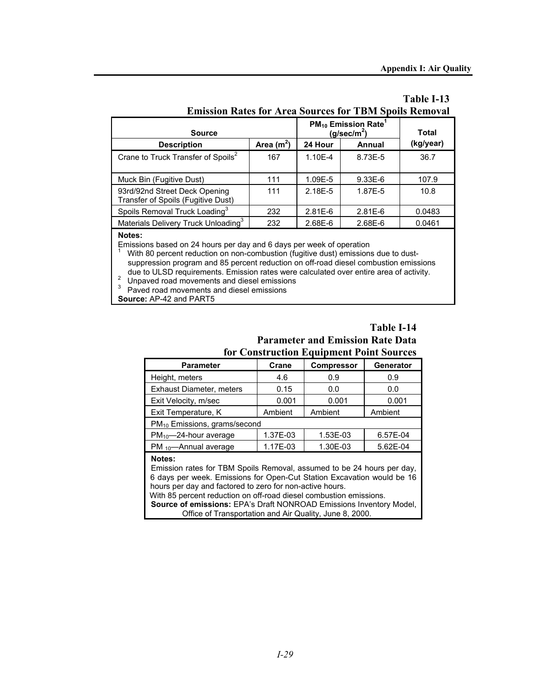| EHIISSION NAUS IOI ALGA SOULUS IOI TIDIVI SPOIIS NEMOVAI            |              |                                                                 |              |           |  |
|---------------------------------------------------------------------|--------------|-----------------------------------------------------------------|--------------|-----------|--|
| <b>Source</b>                                                       |              | $PM_{10}$ Emission Rate <sup>1</sup><br>(g/sec/m <sup>2</sup> ) | <b>Total</b> |           |  |
| <b>Description</b>                                                  | Area $(m^2)$ | 24 Hour                                                         | Annual       | (kg/year) |  |
| Crane to Truck Transfer of Spoils <sup>2</sup>                      | 167          | 1.10E-4                                                         | 8.73E-5      | 36.7      |  |
| Muck Bin (Fugitive Dust)                                            | 111          | 1.09E-5                                                         | $9.33E-6$    | 107.9     |  |
| 93rd/92nd Street Deck Opening<br>Transfer of Spoils (Fugitive Dust) | 111          | 2.18E-5                                                         | 1.87E-5      | 10.8      |  |
| Spoils Removal Truck Loading <sup>3</sup>                           | 232          | $2.81E-6$                                                       | $2.81E-6$    | 0.0483    |  |
| Materials Delivery Truck Unloading <sup>3</sup>                     | 232          | 2.68E-6                                                         | 2.68E-6      | 0.0461    |  |
|                                                                     |              |                                                                 |              |           |  |

# **Table I-13 Emission Rates for Area Sources for TBM Spoils Removal**

#### **Notes:**

Emissions based on 24 hours per day and 6 days per week of operation 1

With 80 percent reduction on non-combustion (fugitive dust) emissions due to dustsuppression program and 85 percent reduction on off-road diesel combustion emissions due to ULSD requirements. Emission rates were calculated over entire area of activity. 2

<sup>2</sup> Unpaved road movements and diesel emissions

 $3$  Paved road movements and diesel emissions

**Source:** AP-42 and PART5

### **Table I-14 Parameter and Emission Rate Data for Construction Equipment Point Sources**

| <b>Parameter</b>                                                                                                                                                                                                                                                                                                                                                                                                               | Crane    | <b>Compressor</b> | Generator |  |
|--------------------------------------------------------------------------------------------------------------------------------------------------------------------------------------------------------------------------------------------------------------------------------------------------------------------------------------------------------------------------------------------------------------------------------|----------|-------------------|-----------|--|
| Height, meters                                                                                                                                                                                                                                                                                                                                                                                                                 | 4.6      | 0.9               | 0.9       |  |
| Exhaust Diameter, meters                                                                                                                                                                                                                                                                                                                                                                                                       | 0.15     | 0.0               | 0.0       |  |
| Exit Velocity, m/sec                                                                                                                                                                                                                                                                                                                                                                                                           | 0.001    | 0.001             | 0.001     |  |
| Exit Temperature, K                                                                                                                                                                                                                                                                                                                                                                                                            | Ambient  | Ambient           | Ambient   |  |
| $PM_{10}$ Emissions, grams/second                                                                                                                                                                                                                                                                                                                                                                                              |          |                   |           |  |
| $PM_{10}$ -24-hour average                                                                                                                                                                                                                                                                                                                                                                                                     | 1.37E-03 | 1.53E-03          | 6.57E-04  |  |
| $PM_{10}$ —Annual average                                                                                                                                                                                                                                                                                                                                                                                                      | 1.17E-03 | 1.30E-03          | 5.62E-04  |  |
| Notes:<br>Emission rates for TBM Spoils Removal, assumed to be 24 hours per day,<br>6 days per week. Emissions for Open-Cut Station Excavation would be 16<br>hours per day and factored to zero for non-active hours.<br>With 85 percent reduction on off-road diesel combustion emissions.<br>Source of emissions: EPA's Draft NONROAD Emissions Inventory Model,<br>Office of Transportation and Air Quality, June 8, 2000. |          |                   |           |  |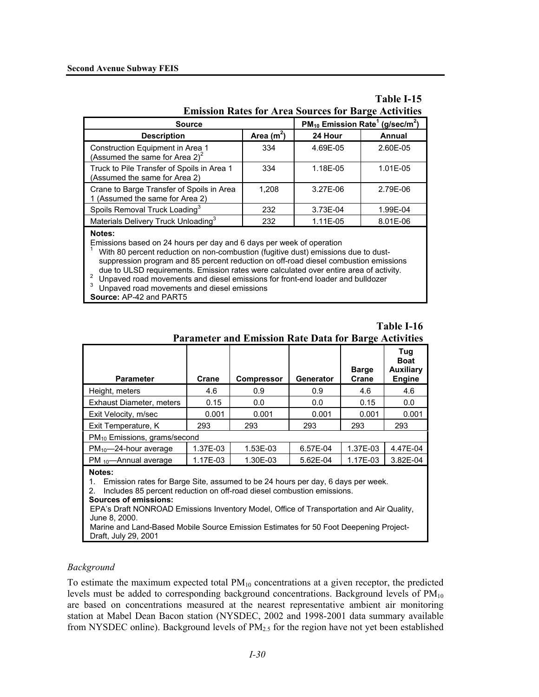| <b>Emission Rates for Area Sources for Barge Activities</b> | Table I-15 |
|-------------------------------------------------------------|------------|
|                                                             |            |

| <b>Source</b>                                                                | $PM_{10}$ Emission Rate <sup>1</sup> (g/sec/m <sup>2</sup> ) |          |          |
|------------------------------------------------------------------------------|--------------------------------------------------------------|----------|----------|
| <b>Description</b>                                                           | Area $(m^2)$                                                 | 24 Hour  | Annual   |
| Construction Equipment in Area 1<br>(Assumed the same for Area $2)^2$        | 334                                                          | 4.69E-05 | 2.60E-05 |
| Truck to Pile Transfer of Spoils in Area 1<br>(Assumed the same for Area 2)  | 334                                                          | 1.18E-05 | 1.01E-05 |
| Crane to Barge Transfer of Spoils in Area<br>1 (Assumed the same for Area 2) | 1.208                                                        | 3.27E-06 | 2.79E-06 |
| Spoils Removal Truck Loading <sup>3</sup>                                    | 232                                                          | 3.73E-04 | 1.99E-04 |
| Materials Delivery Truck Unloading <sup>3</sup>                              | 232                                                          | 1.11E-05 | 8.01E-06 |
| Notes:                                                                       |                                                              |          |          |

Emissions based on 24 hours per day and 6 days per week of operation  $\frac{1}{1}$ . With 80 percent reduction on non-combuction (fugitive duct) emissions

 With 80 percent reduction on non-combustion (fugitive dust) emissions due to dustsuppression program and 85 percent reduction on off-road diesel combustion emissions due to ULSD requirements. Emission rates were calculated over entire area of activity.<br><sup>2</sup> Unpaved road movements and diesel emissions for front-end loader and bulldozer

 $3$  Unpaved road movements and diesel emissions

**Source:** AP-42 and PART5

|                                                                                                                                                                                       |          | Parameter and Emission Rate Data for Barge Activities |                  |                       |                                                         |  |
|---------------------------------------------------------------------------------------------------------------------------------------------------------------------------------------|----------|-------------------------------------------------------|------------------|-----------------------|---------------------------------------------------------|--|
| <b>Parameter</b>                                                                                                                                                                      | Crane    | <b>Compressor</b>                                     | <b>Generator</b> | <b>Barge</b><br>Crane | Tug<br><b>Boat</b><br><b>Auxiliary</b><br><b>Engine</b> |  |
| Height, meters                                                                                                                                                                        | 4.6      | 0.9                                                   | 0.9              | 4.6                   | 4.6                                                     |  |
| Exhaust Diameter, meters                                                                                                                                                              | 0.15     | 0.0                                                   | 0.0              | 0.15                  | 0.0                                                     |  |
| Exit Velocity, m/sec                                                                                                                                                                  | 0.001    | 0.001                                                 | 0.001            | 0.001                 | 0.001                                                   |  |
| Exit Temperature, K                                                                                                                                                                   | 293      | 293                                                   | 293              | 293                   | 293                                                     |  |
| PM <sub>10</sub> Emissions, grams/second                                                                                                                                              |          |                                                       |                  |                       |                                                         |  |
| $PM_{10}$ -24-hour average                                                                                                                                                            | 1.37E-03 | 1.53E-03                                              | 6.57E-04         | 1.37E-03              | 4.47E-04                                                |  |
| $PM_{10}$ —Annual average                                                                                                                                                             | 1.17E-03 | 1.30E-03                                              | 5.62E-04         | 1.17E-03              | 3.82E-04                                                |  |
| Notes:<br>Emission rates for Barge Site, assumed to be 24 hours per day, 6 days per week.<br>1.<br>inalization OF personal reduction are official disord experience applications<br>ົ |          |                                                       |                  |                       |                                                         |  |

**Parameter and Emission Rate Data for Barge Activities** 

**Table I-16** 

2. Includes 85 percent reduction on off-road diesel combustion emissions.

#### **Sources of emissions:**

EPA's Draft NONROAD Emissions Inventory Model, Office of Transportation and Air Quality, June 8, 2000.

 Marine and Land-Based Mobile Source Emission Estimates for 50 Foot Deepening Project-Draft, July 29, 2001

### *Background*

To estimate the maximum expected total  $PM_{10}$  concentrations at a given receptor, the predicted levels must be added to corresponding background concentrations. Background levels of  $PM_{10}$ are based on concentrations measured at the nearest representative ambient air monitoring station at Mabel Dean Bacon station (NYSDEC, 2002 and 1998-2001 data summary available from NYSDEC online). Background levels of  $PM_{2.5}$  for the region have not yet been established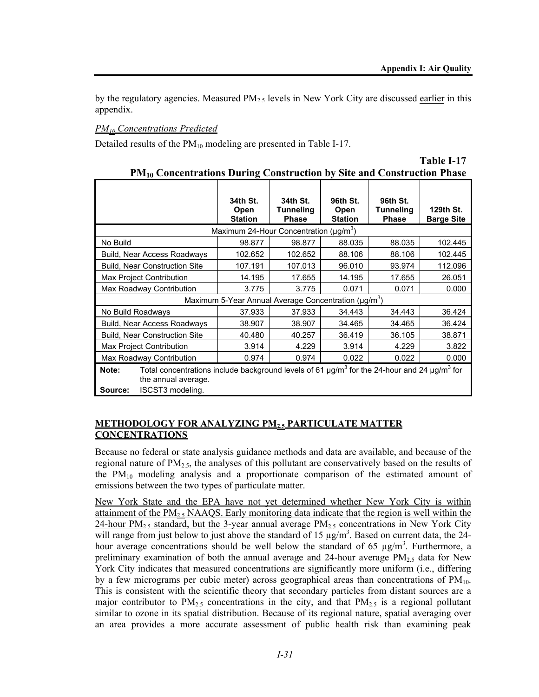by the regulatory agencies. Measured  $PM<sub>2.5</sub>$  levels in New York City are discussed earlier in this appendix.

## *PM10 Concentrations Predicted*

Detailed results of the  $PM_{10}$  modeling are presented in Table I-17.

| The Concentrations During Construction by Site and Construction Fiase                                                                                                                        |                                                                  |                                              |                                    |                                              |                                |
|----------------------------------------------------------------------------------------------------------------------------------------------------------------------------------------------|------------------------------------------------------------------|----------------------------------------------|------------------------------------|----------------------------------------------|--------------------------------|
|                                                                                                                                                                                              | 34th St.<br>Open<br><b>Station</b>                               | 34th St.<br><b>Tunneling</b><br><b>Phase</b> | 96th St.<br>Open<br><b>Station</b> | 96th St.<br><b>Tunneling</b><br><b>Phase</b> | 129th St.<br><b>Barge Site</b> |
|                                                                                                                                                                                              | Maximum 24-Hour Concentration ( $\mu$ g/m <sup>3</sup> )         |                                              |                                    |                                              |                                |
| No Build                                                                                                                                                                                     | 98.877                                                           | 98.877                                       | 88.035                             | 88.035                                       | 102.445                        |
| Build, Near Access Roadways                                                                                                                                                                  | 102.652                                                          | 102.652                                      | 88.106                             | 88.106                                       | 102.445                        |
| <b>Build, Near Construction Site</b>                                                                                                                                                         | 107.191                                                          | 107.013                                      | 96.010                             | 93.974                                       | 112.096                        |
| Max Project Contribution                                                                                                                                                                     | 14.195                                                           | 17.655                                       | 14.195                             | 17.655                                       | 26.051                         |
| Max Roadway Contribution                                                                                                                                                                     | 3.775                                                            | 3.775                                        | 0.071                              | 0.071                                        | 0.000                          |
|                                                                                                                                                                                              | Maximum 5-Year Annual Average Concentration (µg/m <sup>3</sup> ) |                                              |                                    |                                              |                                |
| No Build Roadways                                                                                                                                                                            | 37.933                                                           | 37.933                                       | 34.443                             | 34.443                                       | 36.424                         |
| Build, Near Access Roadways                                                                                                                                                                  | 38.907                                                           | 38.907                                       | 34.465                             | 34.465                                       | 36.424                         |
| <b>Build, Near Construction Site</b>                                                                                                                                                         | 40.480                                                           | 40.257                                       | 36.419                             | 36.105                                       | 38.871                         |
| <b>Max Project Contribution</b>                                                                                                                                                              | 3.914                                                            | 4.229                                        | 3.914                              | 4.229                                        | 3.822                          |
| Max Roadway Contribution                                                                                                                                                                     | 0.974                                                            | 0.974                                        | 0.022                              | 0.022                                        | 0.000                          |
| Total concentrations include background levels of 61 $\mu$ g/m <sup>3</sup> for the 24-hour and 24 $\mu$ g/m <sup>3</sup> for<br>Note:<br>the annual average.<br>ISCST3 modeling.<br>Source: |                                                                  |                                              |                                    |                                              |                                |

|                                                                                          | Table I-17 |
|------------------------------------------------------------------------------------------|------------|
| <b>PM<sub>10</sub></b> Concentrations During Construction by Site and Construction Phase |            |

### **METHODOLOGY FOR ANALYZING PM2.5 PARTICULATE MATTER CONCENTRATIONS**

Because no federal or state analysis guidance methods and data are available, and because of the regional nature of  $PM<sub>2.5</sub>$ , the analyses of this pollutant are conservatively based on the results of the PM10 modeling analysis and a proportionate comparison of the estimated amount of emissions between the two types of particulate matter.

New York State and the EPA have not yet determined whether New York City is within attainment of the PM<sub>2.5</sub> NAAQS. Early monitoring data indicate that the region is well within the 24-hour PM<sub>2.5</sub> standard, but the 3-year annual average PM<sub>2.5</sub> concentrations in New York City will range from just below to just above the standard of 15  $\mu$ g/m<sup>3</sup>. Based on current data, the 24hour average concentrations should be well below the standard of 65  $\mu$ g/m<sup>3</sup>. Furthermore, a preliminary examination of both the annual average and 24-hour average  $PM_{2.5}$  data for New York City indicates that measured concentrations are significantly more uniform (i.e., differing by a few micrograms per cubic meter) across geographical areas than concentrations of  $PM_{10}$ . This is consistent with the scientific theory that secondary particles from distant sources are a major contributor to  $PM_{2.5}$  concentrations in the city, and that  $PM_{2.5}$  is a regional pollutant similar to ozone in its spatial distribution. Because of its regional nature, spatial averaging over an area provides a more accurate assessment of public health risk than examining peak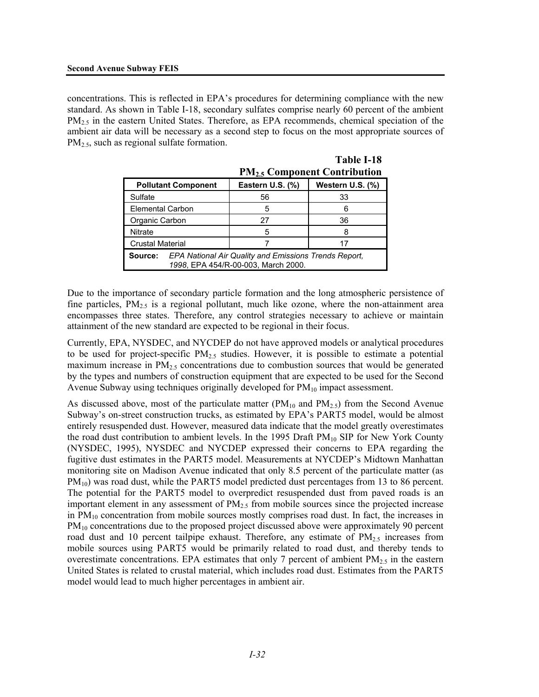concentrations. This is reflected in EPA's procedures for determining compliance with the new standard. As shown in Table I-18, secondary sulfates comprise nearly 60 percent of the ambient PM<sub>2.5</sub> in the eastern United States. Therefore, as EPA recommends, chemical speciation of the ambient air data will be necessary as a second step to focus on the most appropriate sources of PM<sub>2.5</sub>, such as regional sulfate formation.

|                                                                                                         | <b>PM<sub>2.5</sub> Component Contribution</b> |                  |  |  |  |
|---------------------------------------------------------------------------------------------------------|------------------------------------------------|------------------|--|--|--|
| <b>Pollutant Component</b>                                                                              | Eastern U.S. (%)                               | Western U.S. (%) |  |  |  |
| Sulfate                                                                                                 | 56                                             | 33               |  |  |  |
| <b>Elemental Carbon</b>                                                                                 | 5                                              |                  |  |  |  |
| Organic Carbon                                                                                          | 27                                             | 36               |  |  |  |
| Nitrate                                                                                                 | 5                                              |                  |  |  |  |
| <b>Crustal Material</b>                                                                                 | 17                                             |                  |  |  |  |
| EPA National Air Quality and Emissions Trends Report,<br>Source:<br>1998, EPA 454/R-00-003, March 2000. |                                                |                  |  |  |  |

|  | 1 avie 1-10                                    |  |
|--|------------------------------------------------|--|
|  | <b>PM<sub>2.5</sub> Component Contribution</b> |  |

**Table I-18** 

Due to the importance of secondary particle formation and the long atmospheric persistence of fine particles,  $PM_{2.5}$  is a regional pollutant, much like ozone, where the non-attainment area encompasses three states. Therefore, any control strategies necessary to achieve or maintain attainment of the new standard are expected to be regional in their focus.

Currently, EPA, NYSDEC, and NYCDEP do not have approved models or analytical procedures to be used for project-specific  $PM_{2.5}$  studies. However, it is possible to estimate a potential maximum increase in  $PM_{2.5}$  concentrations due to combustion sources that would be generated by the types and numbers of construction equipment that are expected to be used for the Second Avenue Subway using techniques originally developed for  $PM_{10}$  impact assessment.

As discussed above, most of the particulate matter ( $PM_{10}$  and  $PM_{2.5}$ ) from the Second Avenue Subway's on-street construction trucks, as estimated by EPA's PART5 model, would be almost entirely resuspended dust. However, measured data indicate that the model greatly overestimates the road dust contribution to ambient levels. In the 1995 Draft  $PM_{10}$  SIP for New York County (NYSDEC, 1995), NYSDEC and NYCDEP expressed their concerns to EPA regarding the fugitive dust estimates in the PART5 model. Measurements at NYCDEP's Midtown Manhattan monitoring site on Madison Avenue indicated that only 8.5 percent of the particulate matter (as PM<sub>10</sub>) was road dust, while the PART5 model predicted dust percentages from 13 to 86 percent. The potential for the PART5 model to overpredict resuspended dust from paved roads is an important element in any assessment of  $PM<sub>2.5</sub>$  from mobile sources since the projected increase in  $PM_{10}$  concentration from mobile sources mostly comprises road dust. In fact, the increases in PM<sub>10</sub> concentrations due to the proposed project discussed above were approximately 90 percent road dust and 10 percent tailpipe exhaust. Therefore, any estimate of  $PM_{2.5}$  increases from mobile sources using PART5 would be primarily related to road dust, and thereby tends to overestimate concentrations. EPA estimates that only 7 percent of ambient  $PM_{2.5}$  in the eastern United States is related to crustal material, which includes road dust. Estimates from the PART5 model would lead to much higher percentages in ambient air.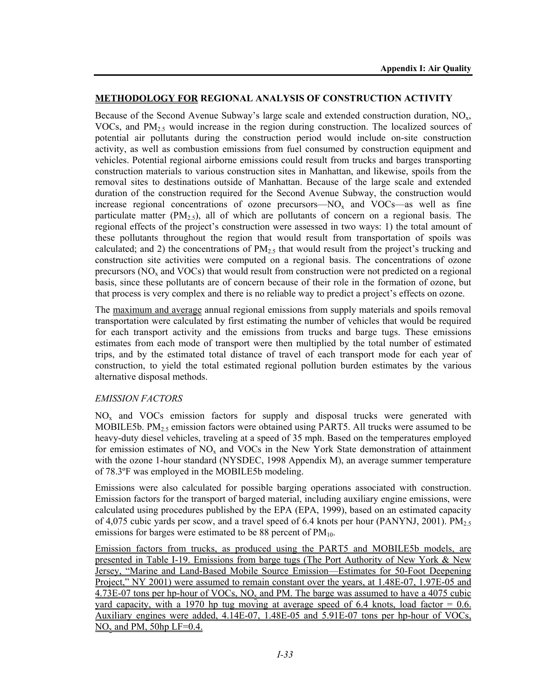### **METHODOLOGY FOR REGIONAL ANALYSIS OF CONSTRUCTION ACTIVITY**

Because of the Second Avenue Subway's large scale and extended construction duration,  $NO<sub>x</sub>$ , VOCs, and  $PM<sub>2.5</sub>$  would increase in the region during construction. The localized sources of potential air pollutants during the construction period would include on-site construction activity, as well as combustion emissions from fuel consumed by construction equipment and vehicles. Potential regional airborne emissions could result from trucks and barges transporting construction materials to various construction sites in Manhattan, and likewise, spoils from the removal sites to destinations outside of Manhattan. Because of the large scale and extended duration of the construction required for the Second Avenue Subway, the construction would increase regional concentrations of ozone precursors— $NO<sub>x</sub>$  and VOCs—as well as fine particulate matter  $(PM<sub>2.5</sub>)$ , all of which are pollutants of concern on a regional basis. The regional effects of the project's construction were assessed in two ways: 1) the total amount of these pollutants throughout the region that would result from transportation of spoils was calculated; and 2) the concentrations of  $PM_{2.5}$  that would result from the project's trucking and construction site activities were computed on a regional basis. The concentrations of ozone precursors ( $NO<sub>x</sub>$  and  $VOCs$ ) that would result from construction were not predicted on a regional basis, since these pollutants are of concern because of their role in the formation of ozone, but that process is very complex and there is no reliable way to predict a project's effects on ozone.

The maximum and average annual regional emissions from supply materials and spoils removal transportation were calculated by first estimating the number of vehicles that would be required for each transport activity and the emissions from trucks and barge tugs. These emissions estimates from each mode of transport were then multiplied by the total number of estimated trips, and by the estimated total distance of travel of each transport mode for each year of construction, to yield the total estimated regional pollution burden estimates by the various alternative disposal methods.

### *EMISSION FACTORS*

 $NO<sub>x</sub>$  and VOCs emission factors for supply and disposal trucks were generated with MOBILE5b. PM<sub>2.5</sub> emission factors were obtained using PART5. All trucks were assumed to be heavy-duty diesel vehicles, traveling at a speed of 35 mph. Based on the temperatures employed for emission estimates of  $NO<sub>x</sub>$  and VOCs in the New York State demonstration of attainment with the ozone 1-hour standard (NYSDEC, 1998 Appendix M), an average summer temperature of 78.3ºF was employed in the MOBILE5b modeling.

Emissions were also calculated for possible barging operations associated with construction. Emission factors for the transport of barged material, including auxiliary engine emissions, were calculated using procedures published by the EPA (EPA, 1999), based on an estimated capacity of 4,075 cubic yards per scow, and a travel speed of 6.4 knots per hour (PANYNJ, 2001). PM<sub>2.5</sub> emissions for barges were estimated to be 88 percent of  $PM_{10}$ .

Emission factors from trucks, as produced using the PART5 and MOBILE5b models, are presented in Table I-19. Emissions from barge tugs (The Port Authority of New York & New Jersey, "Marine and Land-Based Mobile Source Emission—Estimates for 50-Foot Deepening Project," NY 2001) were assumed to remain constant over the years, at 1.48E-07, 1.97E-05 and  $4.73E-07$  tons per hp-hour of VOCs, NO<sub>x</sub> and PM. The barge was assumed to have a 4075 cubic yard capacity, with a 1970 hp tug moving at average speed of  $6.4$  knots, load factor = 0.6. Auxiliary engines were added, 4.14E-07, 1.48E-05 and 5.91E-07 tons per hp-hour of VOCs,  $NO<sub>x</sub>$  and PM, 50hp LF=0.4.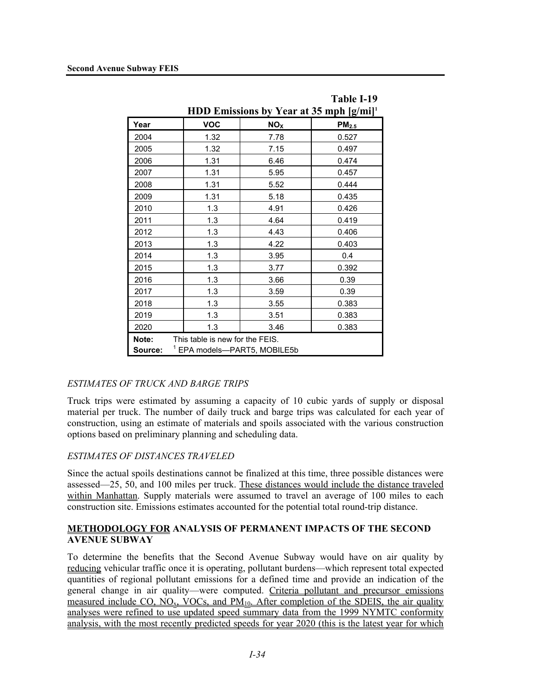|         |                                         |  |                 | Table I-19                                            |
|---------|-----------------------------------------|--|-----------------|-------------------------------------------------------|
|         |                                         |  |                 | HDD Emissions by Year at 35 mph $[g/ml]$ <sup>1</sup> |
| Year    | <b>VOC</b>                              |  | NO <sub>X</sub> | PM <sub>2.5</sub>                                     |
| 2004    | 1.32                                    |  | 7.78            | 0.527                                                 |
| 2005    | 1.32                                    |  | 7.15            | 0.497                                                 |
| 2006    | 1.31                                    |  | 6.46            | 0.474                                                 |
| 2007    | 1.31                                    |  | 5.95            | 0.457                                                 |
| 2008    | 1.31                                    |  | 5.52            | 0.444                                                 |
| 2009    | 1.31                                    |  | 5.18            | 0.435                                                 |
| 2010    | 1.3                                     |  | 4.91            | 0.426                                                 |
| 2011    | 1.3                                     |  | 4.64            | 0.419                                                 |
| 2012    | 1.3                                     |  | 4.43            | 0.406                                                 |
| 2013    | 1.3                                     |  | 4.22            | 0.403                                                 |
| 2014    | 1.3                                     |  | 3.95            | 0.4                                                   |
| 2015    | 1.3                                     |  | 3.77            | 0.392                                                 |
| 2016    | 1.3                                     |  | 3.66            | 0.39                                                  |
| 2017    | 1.3                                     |  | 3.59            | 0.39                                                  |
| 2018    | 1.3                                     |  | 3.55            | 0.383                                                 |
| 2019    | 1.3                                     |  | 3.51            | 0.383                                                 |
| 2020    | 1.3                                     |  | 3.46            | 0.383                                                 |
| Note:   | This table is new for the FEIS.         |  |                 |                                                       |
| Source: | <sup>1</sup> EPA models-PART5, MOBILE5b |  |                 |                                                       |

### *ESTIMATES OF TRUCK AND BARGE TRIPS*

Truck trips were estimated by assuming a capacity of 10 cubic yards of supply or disposal material per truck. The number of daily truck and barge trips was calculated for each year of construction, using an estimate of materials and spoils associated with the various construction options based on preliminary planning and scheduling data.

### *ESTIMATES OF DISTANCES TRAVELED*

Since the actual spoils destinations cannot be finalized at this time, three possible distances were assessed—25, 50, and 100 miles per truck. These distances would include the distance traveled within Manhattan. Supply materials were assumed to travel an average of 100 miles to each construction site. Emissions estimates accounted for the potential total round-trip distance.

### **METHODOLOGY FOR ANALYSIS OF PERMANENT IMPACTS OF THE SECOND AVENUE SUBWAY**

To determine the benefits that the Second Avenue Subway would have on air quality by reducing vehicular traffic once it is operating, pollutant burdens—which represent total expected quantities of regional pollutant emissions for a defined time and provide an indication of the general change in air quality—were computed. Criteria pollutant and precursor emissions measured include CO, NO<sub>x</sub>, VOCs, and  $PM_{10}$ . After completion of the SDEIS, the air quality analyses were refined to use updated speed summary data from the 1999 NYMTC conformity analysis, with the most recently predicted speeds for year 2020 (this is the latest year for which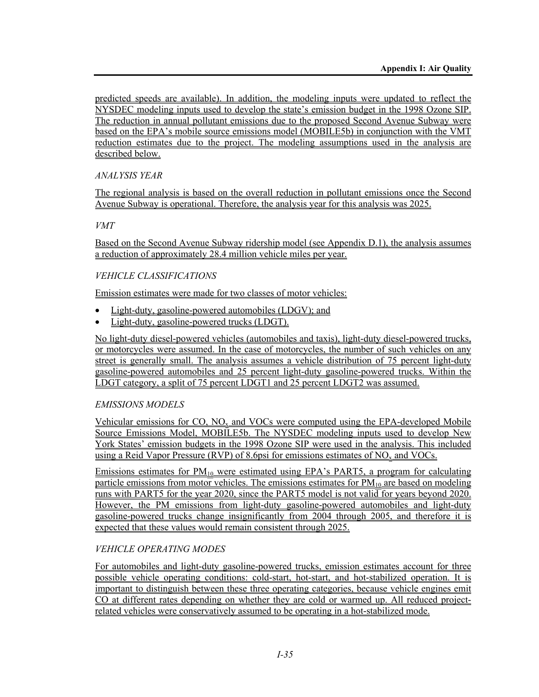predicted speeds are available). In addition, the modeling inputs were updated to reflect the NYSDEC modeling inputs used to develop the state's emission budget in the 1998 Ozone SIP. The reduction in annual pollutant emissions due to the proposed Second Avenue Subway were based on the EPA's mobile source emissions model (MOBILE5b) in conjunction with the VMT reduction estimates due to the project. The modeling assumptions used in the analysis are described below.

# *ANALYSIS YEAR*

The regional analysis is based on the overall reduction in pollutant emissions once the Second Avenue Subway is operational. Therefore, the analysis year for this analysis was 2025.

# *VMT*

Based on the Second Avenue Subway ridership model (see Appendix D.1), the analysis assumes a reduction of approximately 28.4 million vehicle miles per year.

# *VEHICLE CLASSIFICATIONS*

Emission estimates were made for two classes of motor vehicles:

- Light-duty, gasoline-powered automobiles (LDGV); and
- Light-duty, gasoline-powered trucks (LDGT).

No light-duty diesel-powered vehicles (automobiles and taxis), light-duty diesel-powered trucks, or motorcycles were assumed. In the case of motorcycles, the number of such vehicles on any street is generally small. The analysis assumes a vehicle distribution of 75 percent light-duty gasoline-powered automobiles and 25 percent light-duty gasoline-powered trucks. Within the LDGT category, a split of 75 percent LDGT1 and 25 percent LDGT2 was assumed.

# *EMISSIONS MODELS*

Vehicular emissions for CO, NOx and VOCs were computed using the EPA-developed Mobile Source Emissions Model, MOBILE5b. The NYSDEC modeling inputs used to develop New York States' emission budgets in the 1998 Ozone SIP were used in the analysis. This included using a Reid Vapor Pressure (RVP) of 8.6psi for emissions estimates of  $NO<sub>x</sub>$  and VOCs.

Emissions estimates for  $PM_{10}$  were estimated using EPA's PART5, a program for calculating particle emissions from motor vehicles. The emissions estimates for  $PM_{10}$  are based on modeling runs with PART5 for the year 2020, since the PART5 model is not valid for years beyond 2020. However, the PM emissions from light-duty gasoline-powered automobiles and light-duty gasoline-powered trucks change insignificantly from 2004 through 2005, and therefore it is expected that these values would remain consistent through 2025.

# *VEHICLE OPERATING MODES*

For automobiles and light-duty gasoline-powered trucks, emission estimates account for three possible vehicle operating conditions: cold-start, hot-start, and hot-stabilized operation. It is important to distinguish between these three operating categories, because vehicle engines emit CO at different rates depending on whether they are cold or warmed up. All reduced projectrelated vehicles were conservatively assumed to be operating in a hot-stabilized mode.